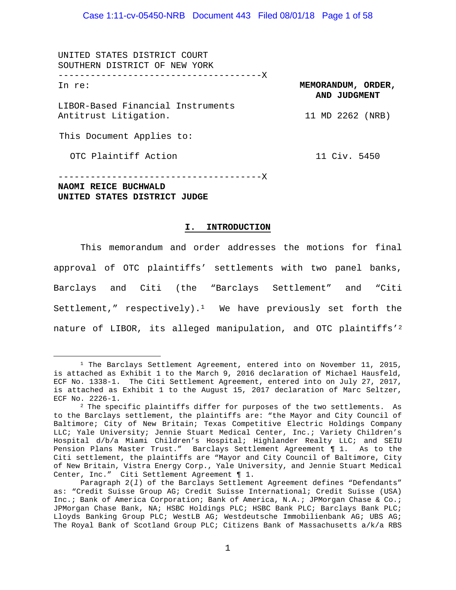UNITED STATES DISTRICT COURT SOUTHERN DISTRICT OF NEW YORK --------------------------------------X In re:

LIBOR-Based Financial Instruments Antitrust Litigation.

This Document Applies to:

OTC Plaintiff Action

11 Civ. 5450

**MEMORANDUM, ORDER, AND JUDGMENT**

11 MD 2262 (NRB)

--------------------------------------X **NAOMI REICE BUCHWALD UNITED STATES DISTRICT JUDGE**

#### **I. INTRODUCTION**

This memorandum and order addresses the motions for final approval of OTC plaintiffs' settlements with two panel banks, Barclays and Citi (the "Barclays Settlement" and "Citi Settlement," respectively).<sup>1</sup> We have previously set forth the nature of LIBOR, its alleged manipulation, and OTC plaintiffs'[2](#page-0-1)

<span id="page-0-0"></span><sup>&</sup>lt;sup>1</sup> The Barclays Settlement Agreement, entered into on November 11, 2015, is attached as Exhibit 1 to the March 9, 2016 declaration of Michael Hausfeld, ECF No. 1338-1. The Citi Settlement Agreement, entered into on July 27, 2017, is attached as Exhibit 1 to the August 15, 2017 declaration of Marc Seltzer, ECF No. 2226-1.

<span id="page-0-1"></span><sup>2</sup> The specific plaintiffs differ for purposes of the two settlements. As to the Barclays settlement, the plaintiffs are: "the Mayor and City Council of Baltimore; City of New Britain; Texas Competitive Electric Holdings Company LLC; Yale University; Jennie Stuart Medical Center, Inc.; Variety Children's Hospital d/b/a Miami Children's Hospital; Highlander Realty LLC; and SEIU Pension Plans Master Trust." Barclays Settlement Agreement ¶ 1. As to the Citi settlement, the plaintiffs are "Mayor and City Council of Baltimore, City of New Britain, Vistra Energy Corp., Yale University, and Jennie Stuart Medical Center, Inc." Citi Settlement Agreement ¶ 1.

Paragraph 2(*l*) of the Barclays Settlement Agreement defines "Defendants" as: "Credit Suisse Group AG; Credit Suisse International; Credit Suisse (USA) Inc.; Bank of America Corporation; Bank of America, N.A.; JPMorgan Chase & Co.; JPMorgan Chase Bank, NA; HSBC Holdings PLC; HSBC Bank PLC; Barclays Bank PLC; Lloyds Banking Group PLC; WestLB AG; Westdeutsche Immobilienbank AG; UBS AG; The Royal Bank of Scotland Group PLC; Citizens Bank of Massachusetts a/k/a RBS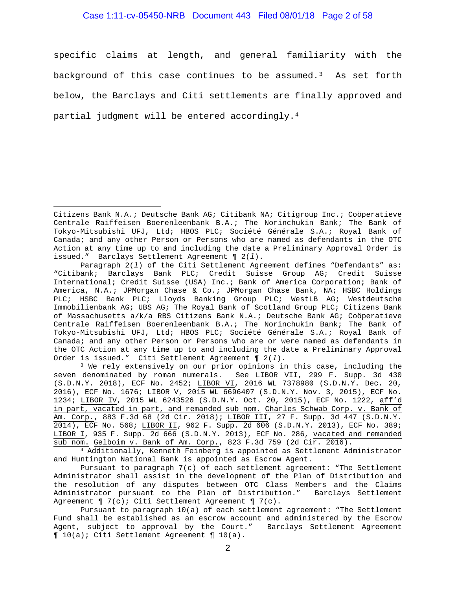#### Case 1:11-cv-05450-NRB Document 443 Filed 08/01/18 Page 2 of 58

specific claims at length, and general familiarity with the background of this case continues to be assumed.<sup>[3](#page-1-0)</sup> As set forth below, the Barclays and Citi settlements are finally approved and partial judgment will be entered accordingly[.4](#page-1-1)

<span id="page-1-0"></span><sup>3</sup> We rely extensively on our prior opinions in this case, including the seven denominated by roman numerals. See LIBOR VII, 299 F. Supp. 3d 430 (S.D.N.Y. 2018), ECF No. 2452; LIBOR VI, 2016 WL 7378980 (S.D.N.Y. Dec. 20, 2016), ECF No. 1676; LIBOR V, 2015 WL 6696407 (S.D.N.Y. Nov. 3, 2015), ECF No. 1234; LIBOR IV, 2015 WL 6243526 (S.D.N.Y. Oct. 20, 2015), ECF No. 1222, aff'd in part, vacated in part, and remanded sub nom. Charles Schwab Corp. v. Bank of Am. Corp., 883 F.3d 68 (2d Cir. 2018); LIBOR III, 27 F. Supp. 3d 447 (S.D.N.Y. 2014), ECF No. 568; LIBOR II, 962 F. Supp. 2d 606 (S.D.N.Y. 2013), ECF No. 389; LIBOR I, 935 F. Supp. 2d 666 (S.D.N.Y. 2013), ECF No. 286, vacated and remanded sub nom. Gelboim v. Bank of Am. Corp., 823 F.3d 759 (2d Cir. 2016).

<span id="page-1-1"></span><sup>4</sup> Additionally, Kenneth Feinberg is appointed as Settlement Administrator and Huntington National Bank is appointed as Escrow Agent.

Pursuant to paragraph 7(c) of each settlement agreement: "The Settlement Administrator shall assist in the development of the Plan of Distribution and the resolution of any disputes between OTC Class Members and the Claims Administrator pursuant to the Plan of Distribution." Barclays Settlement Agreement  $\P$  7(c); Citi Settlement Agreement  $\P$  7(c).

Pursuant to paragraph 10(a) of each settlement agreement: "The Settlement Fund shall be established as an escrow account and administered by the Escrow Agent, subject to approval by the Court." Barclays Settlement Agreement ¶ 10(a); Citi Settlement Agreement ¶ 10(a).

Ĩ. Citizens Bank N.A.; Deutsche Bank AG; Citibank NA; Citigroup Inc.; Coöperatieve Centrale Raiffeisen Boerenleenbank B.A.; The Norinchukin Bank; The Bank of Tokyo-Mitsubishi UFJ, Ltd; HBOS PLC; Société Générale S.A.; Royal Bank of Canada; and any other Person or Persons who are named as defendants in the OTC Action at any time up to and including the date a Preliminary Approval Order is issued." Barclays Settlement Agreement ¶ 2(*l*).

Paragraph 2(*l*) of the Citi Settlement Agreement defines "Defendants" as: "Citibank; Barclays Bank PLC; Credit Suisse Group AG; Credit Suisse International; Credit Suisse (USA) Inc.; Bank of America Corporation; Bank of America, N.A.; JPMorgan Chase & Co.; JPMorgan Chase Bank, NA; HSBC Holdings PLC; HSBC Bank PLC; Lloyds Banking Group PLC; WestLB AG; Westdeutsche Immobilienbank AG; UBS AG; The Royal Bank of Scotland Group PLC; Citizens Bank of Massachusetts a/k/a RBS Citizens Bank N.A.; Deutsche Bank AG; Coöperatieve Centrale Raiffeisen Boerenleenbank B.A.; The Norinchukin Bank; The Bank of Tokyo-Mitsubishi UFJ, Ltd; HBOS PLC; Société Générale S.A.; Royal Bank of Canada; and any other Person or Persons who are or were named as defendants in the OTC Action at any time up to and including the date a Preliminary Approval Order is issued." Citi Settlement Agreement ¶ 2(*l*).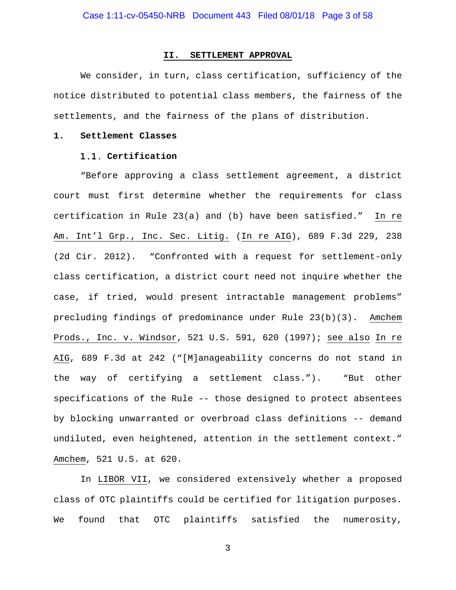#### **II. SETTLEMENT APPROVAL**

We consider, in turn, class certification, sufficiency of the notice distributed to potential class members, the fairness of the settlements, and the fairness of the plans of distribution.

#### **1. Settlement Classes**

# **Certification**

"Before approving a class settlement agreement, a district court must first determine whether the requirements for class certification in Rule 23(a) and (b) have been satisfied." In re Am. Int'l Grp., Inc. Sec. Litig. (In re AIG), 689 F.3d 229, 238 (2d Cir. 2012). "Confronted with a request for settlement-only class certification, a district court need not inquire whether the case, if tried, would present intractable management problems" precluding findings of predominance under Rule 23(b)(3). Amchem Prods., Inc. v. Windsor, 521 U.S. 591, 620 (1997); see also In re AIG, 689 F.3d at 242 ("[M]anageability concerns do not stand in the way of certifying a settlement class."). "But other specifications of the Rule -- those designed to protect absentees by blocking unwarranted or overbroad class definitions -- demand undiluted, even heightened, attention in the settlement context." Amchem, 521 U.S. at 620.

In LIBOR VII, we considered extensively whether a proposed class of OTC plaintiffs could be certified for litigation purposes. We found that OTC plaintiffs satisfied the numerosity,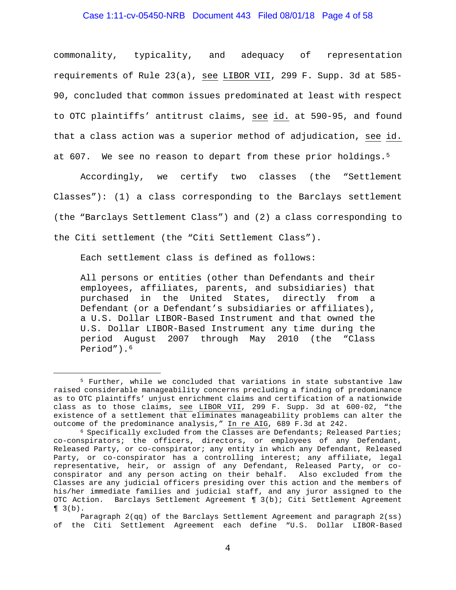# Case 1:11-cv-05450-NRB Document 443 Filed 08/01/18 Page 4 of 58

commonality, typicality, and adequacy of representation requirements of Rule 23(a), see LIBOR VII, 299 F. Supp. 3d at 585- 90, concluded that common issues predominated at least with respect to OTC plaintiffs' antitrust claims, see id. at 590-95, and found that a class action was a superior method of adjudication, see id. at 607. We see no reason to depart from these prior holdings.<sup>[5](#page-3-0)</sup>

Accordingly, we certify two classes (the "Settlement Classes"): (1) a class corresponding to the Barclays settlement (the "Barclays Settlement Class") and (2) a class corresponding to the Citi settlement (the "Citi Settlement Class").

Each settlement class is defined as follows:

All persons or entities (other than Defendants and their employees, affiliates, parents, and subsidiaries) that purchased in the United States, directly from a Defendant (or a Defendant's subsidiaries or affiliates), a U.S. Dollar LIBOR-Based Instrument and that owned the U.S. Dollar LIBOR-Based Instrument any time during the<br>period August 2007 through May 2010 (the "Class period August 2007 through May Period").<sup>[6](#page-3-1)</sup>

<span id="page-3-0"></span> <sup>5</sup> Further, while we concluded that variations in state substantive law raised considerable manageability concerns precluding a finding of predominance as to OTC plaintiffs' unjust enrichment claims and certification of a nationwide class as to those claims, see LIBOR VII, 299 F. Supp. 3d at 600-02, "the existence of a settlement that eliminates manageability problems can alter the outcome of the predominance analysis," In re AIG, 689 F.3d at 242.

<span id="page-3-1"></span><sup>6</sup> Specifically excluded from the Classes are Defendants; Released Parties; co-conspirators; the officers, directors, or employees of any Defendant, Released Party, or co-conspirator; any entity in which any Defendant, Released Party, or co-conspirator has a controlling interest; any affiliate, legal representative, heir, or assign of any Defendant, Released Party, or coconspirator and any person acting on their behalf. Also excluded from the Classes are any judicial officers presiding over this action and the members of his/her immediate families and judicial staff, and any juror assigned to the OTC Action. Barclays Settlement Agreement ¶ 3(b); Citi Settlement Agreement  $\P$  3(b).

Paragraph 2(qq) of the Barclays Settlement Agreement and paragraph 2(ss) of the Citi Settlement Agreement each define "U.S. Dollar LIBOR-Based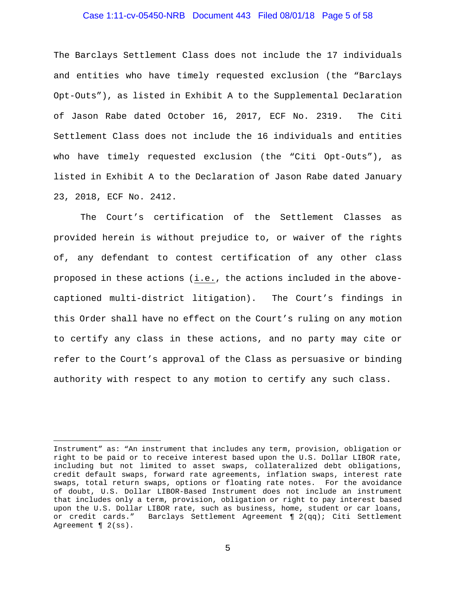# Case 1:11-cv-05450-NRB Document 443 Filed 08/01/18 Page 5 of 58

The Barclays Settlement Class does not include the 17 individuals and entities who have timely requested exclusion (the "Barclays Opt-Outs"), as listed in Exhibit A to the Supplemental Declaration of Jason Rabe dated October 16, 2017, ECF No. 2319. The Citi Settlement Class does not include the 16 individuals and entities who have timely requested exclusion (the "Citi Opt-Outs"), as listed in Exhibit A to the Declaration of Jason Rabe dated January 23, 2018, ECF No. 2412.

The Court's certification of the Settlement Classes as provided herein is without prejudice to, or waiver of the rights of, any defendant to contest certification of any other class proposed in these actions (i.e., the actions included in the abovecaptioned multi-district litigation). The Court's findings in this Order shall have no effect on the Court's ruling on any motion to certify any class in these actions, and no party may cite or refer to the Court's approval of the Class as persuasive or binding authority with respect to any motion to certify any such class.

Ĩ. Instrument" as: "An instrument that includes any term, provision, obligation or right to be paid or to receive interest based upon the U.S. Dollar LIBOR rate, including but not limited to asset swaps, collateralized debt obligations, credit default swaps, forward rate agreements, inflation swaps, interest rate swaps, total return swaps, options or floating rate notes. For the avoidance of doubt, U.S. Dollar LIBOR-Based Instrument does not include an instrument that includes only a term, provision, obligation or right to pay interest based upon the U.S. Dollar LIBOR rate, such as business, home, student or car loans, or credit cards." Barclays Settlement Agreement  $\P$  2(qq); Citi Settlement Barclays Settlement Agreement  $\P$  2(qq); Citi Settlement Agreement  $\parallel$  2(ss).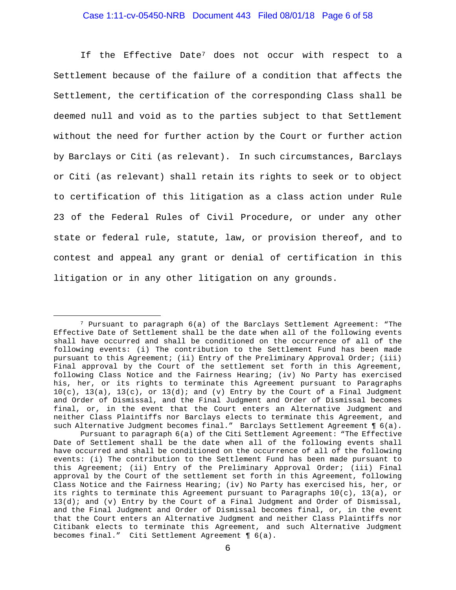# Case 1:11-cv-05450-NRB Document 443 Filed 08/01/18 Page 6 of 58

If the Effective Date[7](#page-5-0) does not occur with respect to a Settlement because of the failure of a condition that affects the Settlement, the certification of the corresponding Class shall be deemed null and void as to the parties subject to that Settlement without the need for further action by the Court or further action by Barclays or Citi (as relevant). In such circumstances, Barclays or Citi (as relevant) shall retain its rights to seek or to object to certification of this litigation as a class action under Rule 23 of the Federal Rules of Civil Procedure, or under any other state or federal rule, statute, law, or provision thereof, and to contest and appeal any grant or denial of certification in this litigation or in any other litigation on any grounds.

<span id="page-5-0"></span> <sup>7</sup> Pursuant to paragraph 6(a) of the Barclays Settlement Agreement: "The Effective Date of Settlement shall be the date when all of the following events shall have occurred and shall be conditioned on the occurrence of all of the following events: (i) The contribution to the Settlement Fund has been made pursuant to this Agreement; (ii) Entry of the Preliminary Approval Order; (iii) Final approval by the Court of the settlement set forth in this Agreement, following Class Notice and the Fairness Hearing; (iv) No Party has exercised his, her, or its rights to terminate this Agreement pursuant to Paragraphs  $10(c)$ ,  $13(a)$ ,  $13(c)$ , or  $13(d)$ ; and (v) Entry by the Court of a Final Judgment and Order of Dismissal, and the Final Judgment and Order of Dismissal becomes final, or, in the event that the Court enters an Alternative Judgment and neither Class Plaintiffs nor Barclays elects to terminate this Agreement, and such Alternative Judgment becomes final." Barclays Settlement Agreement ¶  $6(a)$ .

Pursuant to paragraph 6(a) of the Citi Settlement Agreement: "The Effective Date of Settlement shall be the date when all of the following events shall have occurred and shall be conditioned on the occurrence of all of the following events: (i) The contribution to the Settlement Fund has been made pursuant to this Agreement; (ii) Entry of the Preliminary Approval Order; (iii) Final approval by the Court of the settlement set forth in this Agreement, following Class Notice and the Fairness Hearing; (iv) No Party has exercised his, her, or its rights to terminate this Agreement pursuant to Paragraphs  $10(c)$ ,  $13(a)$ , or  $13(d)$ ; and (v) Entry by the Court of a Final Judgment and Order of Dismissal, and the Final Judgment and Order of Dismissal becomes final, or, in the event that the Court enters an Alternative Judgment and neither Class Plaintiffs nor Citibank elects to terminate this Agreement, and such Alternative Judgment becomes final." Citi Settlement Agreement ¶ 6(a).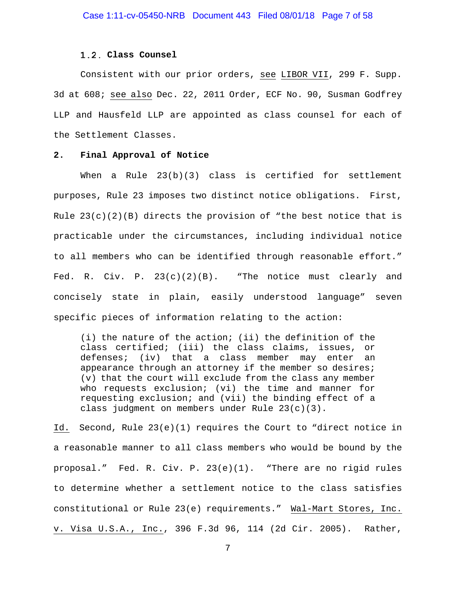#### **Class Counsel**

Consistent with our prior orders, see LIBOR VII, 299 F. Supp. 3d at 608; see also Dec. 22, 2011 Order, ECF No. 90, Susman Godfrey LLP and Hausfeld LLP are appointed as class counsel for each of the Settlement Classes.

#### **2. Final Approval of Notice**

When a Rule  $23(b)(3)$  class is certified for settlement purposes, Rule 23 imposes two distinct notice obligations. First, Rule  $23(c)(2)(B)$  directs the provision of "the best notice that is practicable under the circumstances, including individual notice to all members who can be identified through reasonable effort." Fed. R. Civ. P.  $23(c)(2)(B)$ . "The notice must clearly and concisely state in plain, easily understood language" seven specific pieces of information relating to the action:

(i) the nature of the action; (ii) the definition of the class certified; (iii) the class claims, issues, or defenses; (iv) that a class member may enter an appearance through an attorney if the member so desires; (v) that the court will exclude from the class any member who requests exclusion; (vi) the time and manner for requesting exclusion; and (vii) the binding effect of a class judgment on members under Rule 23(c)(3).

Id. Second, Rule 23(e)(1) requires the Court to "direct notice in a reasonable manner to all class members who would be bound by the proposal." Fed. R. Civ. P. 23(e)(1). "There are no rigid rules to determine whether a settlement notice to the class satisfies constitutional or Rule 23(e) requirements." Wal-Mart Stores, Inc. v. Visa U.S.A., Inc., 396 F.3d 96, 114 (2d Cir. 2005). Rather,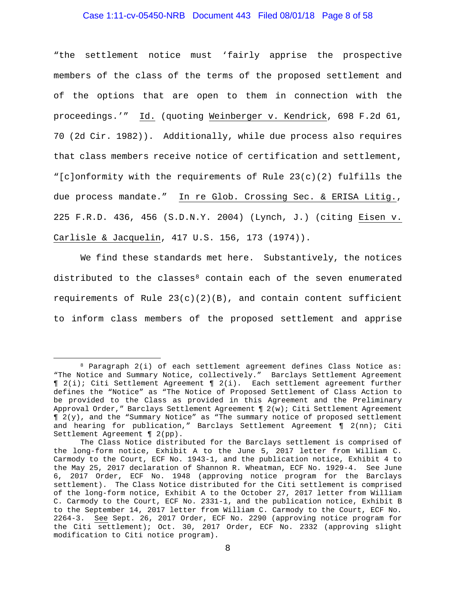# Case 1:11-cv-05450-NRB Document 443 Filed 08/01/18 Page 8 of 58

"the settlement notice must 'fairly apprise the prospective members of the class of the terms of the proposed settlement and of the options that are open to them in connection with the proceedings.'" Id. (quoting Weinberger v. Kendrick, 698 F.2d 61, 70 (2d Cir. 1982)). Additionally, while due process also requires that class members receive notice of certification and settlement, "[c]onformity with the requirements of Rule 23(c)(2) fulfills the due process mandate." In re Glob. Crossing Sec. & ERISA Litig., 225 F.R.D. 436, 456 (S.D.N.Y. 2004) (Lynch, J.) (citing Eisen v. Carlisle & Jacquelin, 417 U.S. 156, 173 (1974)).

We find these standards met here. Substantively, the notices distributed to the classes $8$  contain each of the seven enumerated requirements of Rule  $23(c)(2)(B)$ , and contain content sufficient to inform class members of the proposed settlement and apprise

<span id="page-7-0"></span> <sup>8</sup> Paragraph 2(i) of each settlement agreement defines Class Notice as: "The Notice and Summary Notice, collectively." Barclays Settlement Agreement ¶ 2(i); Citi Settlement Agreement ¶ 2(i). Each settlement agreement further defines the "Notice" as "The Notice of Proposed Settlement of Class Action to be provided to the Class as provided in this Agreement and the Preliminary Approval Order," Barclays Settlement Agreement ¶ 2(w); Citi Settlement Agreement  $\P$  2(y), and the "Summary Notice" as "The summary notice of proposed settlement and hearing for publication," Barclays Settlement Agreement ¶ 2(nn); Citi Settlement Agreement ¶ 2(pp).

The Class Notice distributed for the Barclays settlement is comprised of the long-form notice, Exhibit A to the June 5, 2017 letter from William C. Carmody to the Court, ECF No. 1943-1, and the publication notice, Exhibit 4 to the May 25, 2017 declaration of Shannon R. Wheatman, ECF No. 1929-4. See June 6, 2017 Order, ECF No. 1948 (approving notice program for the Barclays settlement). The Class Notice distributed for the Citi settlement is comprised of the long-form notice, Exhibit A to the October 27, 2017 letter from William C. Carmody to the Court, ECF No. 2331-1, and the publication notice, Exhibit B to the September 14, 2017 letter from William C. Carmody to the Court, ECF No. 2264-3. See Sept. 26, 2017 Order, ECF No. 2290 (approving notice program for the Citi settlement); Oct. 30, 2017 Order, ECF No. 2332 (approving slight modification to Citi notice program).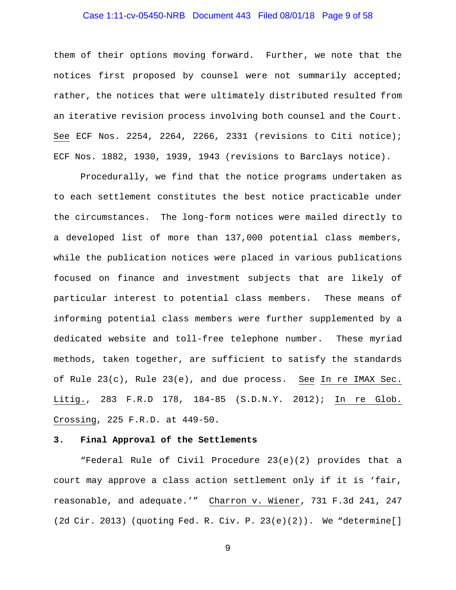# Case 1:11-cv-05450-NRB Document 443 Filed 08/01/18 Page 9 of 58

them of their options moving forward. Further, we note that the notices first proposed by counsel were not summarily accepted; rather, the notices that were ultimately distributed resulted from an iterative revision process involving both counsel and the Court. See ECF Nos. 2254, 2264, 2266, 2331 (revisions to Citi notice); ECF Nos. 1882, 1930, 1939, 1943 (revisions to Barclays notice).

Procedurally, we find that the notice programs undertaken as to each settlement constitutes the best notice practicable under the circumstances. The long-form notices were mailed directly to a developed list of more than 137,000 potential class members, while the publication notices were placed in various publications focused on finance and investment subjects that are likely of particular interest to potential class members. These means of informing potential class members were further supplemented by a dedicated website and toll-free telephone number. These myriad methods, taken together, are sufficient to satisfy the standards of Rule 23(c), Rule 23(e), and due process. See In re IMAX Sec. Litig., 283 F.R.D 178, 184-85 (S.D.N.Y. 2012); In re Glob. Crossing, 225 F.R.D. at 449-50.

#### **3. Final Approval of the Settlements**

"Federal Rule of Civil Procedure 23(e)(2) provides that a court may approve a class action settlement only if it is 'fair, reasonable, and adequate.'" Charron v. Wiener, 731 F.3d 241, 247 (2d Cir. 2013) (quoting Fed. R. Civ. P. 23(e)(2)). We "determine[]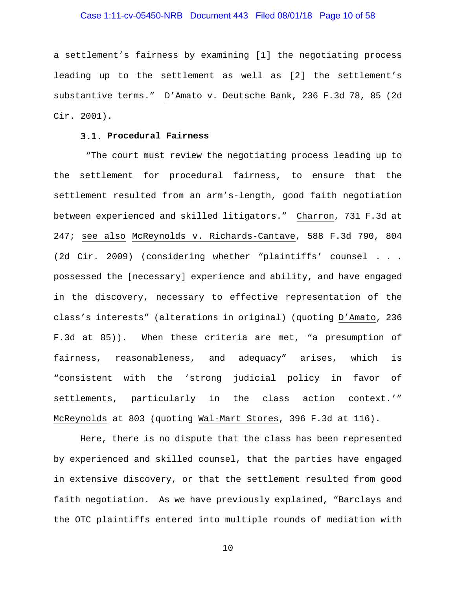# Case 1:11-cv-05450-NRB Document 443 Filed 08/01/18 Page 10 of 58

a settlement's fairness by examining [1] the negotiating process leading up to the settlement as well as [2] the settlement's substantive terms." D'Amato v. Deutsche Bank, 236 F.3d 78, 85 (2d Cir. 2001).

#### **Procedural Fairness**

"The court must review the negotiating process leading up to the settlement for procedural fairness, to ensure that the settlement resulted from an arm's-length, good faith negotiation between experienced and skilled litigators." Charron, 731 F.3d at 247; see also McReynolds v. Richards-Cantave, 588 F.3d 790, 804 (2d Cir. 2009) (considering whether "plaintiffs' counsel . . . possessed the [necessary] experience and ability, and have engaged in the discovery, necessary to effective representation of the class's interests" (alterations in original) (quoting D'Amato, 236 F.3d at 85)). When these criteria are met, "a presumption of fairness, reasonableness, and adequacy" arises, which is "consistent with the 'strong judicial policy in favor of settlements, particularly in the class action context.'" McReynolds at 803 (quoting Wal-Mart Stores, 396 F.3d at 116).

Here, there is no dispute that the class has been represented by experienced and skilled counsel, that the parties have engaged in extensive discovery, or that the settlement resulted from good faith negotiation. As we have previously explained, "Barclays and the OTC plaintiffs entered into multiple rounds of mediation with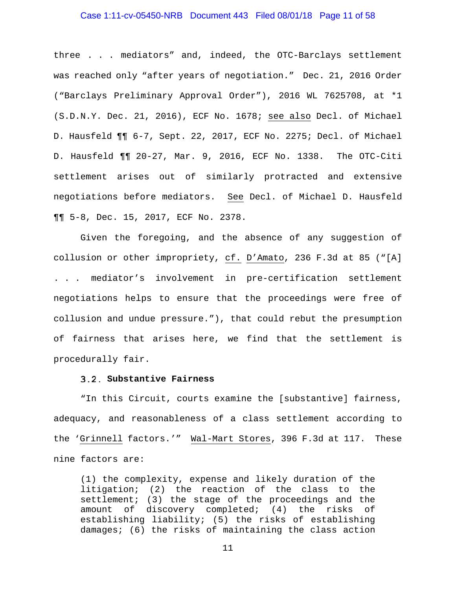# Case 1:11-cv-05450-NRB Document 443 Filed 08/01/18 Page 11 of 58

three . . . mediators" and, indeed, the OTC-Barclays settlement was reached only "after years of negotiation." Dec. 21, 2016 Order ("Barclays Preliminary Approval Order"), 2016 WL 7625708, at \*1 (S.D.N.Y. Dec. 21, 2016), ECF No. 1678; see also Decl. of Michael D. Hausfeld ¶¶ 6-7, Sept. 22, 2017, ECF No. 2275; Decl. of Michael D. Hausfeld ¶¶ 20-27, Mar. 9, 2016, ECF No. 1338. The OTC-Citi settlement arises out of similarly protracted and extensive negotiations before mediators. See Decl. of Michael D. Hausfeld ¶¶ 5-8, Dec. 15, 2017, ECF No. 2378.

Given the foregoing, and the absence of any suggestion of collusion or other impropriety, cf. D'Amato, 236 F.3d at 85 ("[A] . . . mediator's involvement in pre-certification settlement negotiations helps to ensure that the proceedings were free of collusion and undue pressure."), that could rebut the presumption of fairness that arises here, we find that the settlement is procedurally fair.

#### **Substantive Fairness**

"In this Circuit, courts examine the [substantive] fairness, adequacy, and reasonableness of a class settlement according to the 'Grinnell factors.'" Wal-Mart Stores, 396 F.3d at 117. These nine factors are:

(1) the complexity, expense and likely duration of the litigation; (2) the reaction of the class to the settlement; (3) the stage of the proceedings and the amount of discovery completed; (4) the risks of establishing liability; (5) the risks of establishing damages; (6) the risks of maintaining the class action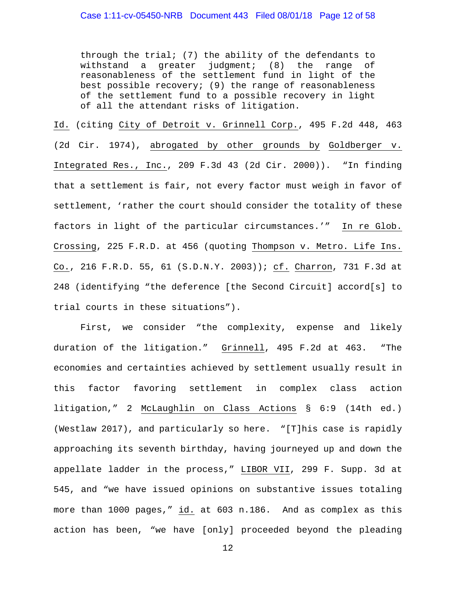through the trial; (7) the ability of the defendants to withstand a greater judgment; (8) the range of judgment; (8) the range of reasonableness of the settlement fund in light of the best possible recovery; (9) the range of reasonableness of the settlement fund to a possible recovery in light of all the attendant risks of litigation.

Id. (citing City of Detroit v. Grinnell Corp., 495 F.2d 448, 463 (2d Cir. 1974), abrogated by other grounds by Goldberger v. Integrated Res., Inc., 209 F.3d 43 (2d Cir. 2000)). "In finding that a settlement is fair, not every factor must weigh in favor of settlement, 'rather the court should consider the totality of these factors in light of the particular circumstances.'" In re Glob. Crossing, 225 F.R.D. at 456 (quoting Thompson v. Metro. Life Ins. Co., 216 F.R.D. 55, 61 (S.D.N.Y. 2003)); cf. Charron, 731 F.3d at 248 (identifying "the deference [the Second Circuit] accord[s] to trial courts in these situations").

First, we consider "the complexity, expense and likely duration of the litigation." Grinnell, 495 F.2d at 463. "The economies and certainties achieved by settlement usually result in this factor favoring settlement in complex class action litigation," 2 McLaughlin on Class Actions § 6:9 (14th ed.) (Westlaw 2017), and particularly so here. "[T]his case is rapidly approaching its seventh birthday, having journeyed up and down the appellate ladder in the process," LIBOR VII, 299 F. Supp. 3d at 545, and "we have issued opinions on substantive issues totaling more than 1000 pages," id. at 603 n.186. And as complex as this action has been, "we have [only] proceeded beyond the pleading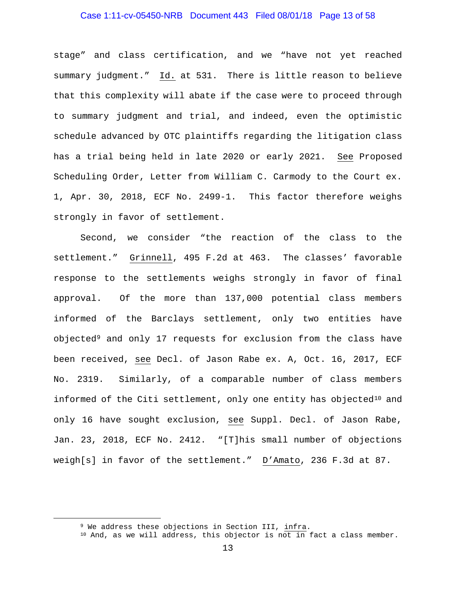# Case 1:11-cv-05450-NRB Document 443 Filed 08/01/18 Page 13 of 58

stage" and class certification, and we "have not yet reached summary judgment." Id. at 531. There is little reason to believe that this complexity will abate if the case were to proceed through to summary judgment and trial, and indeed, even the optimistic schedule advanced by OTC plaintiffs regarding the litigation class has a trial being held in late 2020 or early 2021. See Proposed Scheduling Order, Letter from William C. Carmody to the Court ex. 1, Apr. 30, 2018, ECF No. 2499-1. This factor therefore weighs strongly in favor of settlement.

Second, we consider "the reaction of the class to the settlement." Grinnell, 495 F.2d at 463. The classes' favorable response to the settlements weighs strongly in favor of final approval. Of the more than 137,000 potential class members informed of the Barclays settlement, only two entities have objected[9](#page-12-0) and only 17 requests for exclusion from the class have been received, see Decl. of Jason Rabe ex. A, Oct. 16, 2017, ECF No. 2319. Similarly, of a comparable number of class members informed of the Citi settlement, only one entity has objected<sup>[10](#page-12-1)</sup> and only 16 have sought exclusion, see Suppl. Decl. of Jason Rabe, Jan. 23, 2018, ECF No. 2412. "[T]his small number of objections weigh[s] in favor of the settlement." D'Amato, 236 F.3d at 87.

<span id="page-12-0"></span> <sup>9</sup> We address these objections in Section III, infra.

<span id="page-12-1"></span><sup>10</sup> And, as we will address, this objector is not in fact a class member.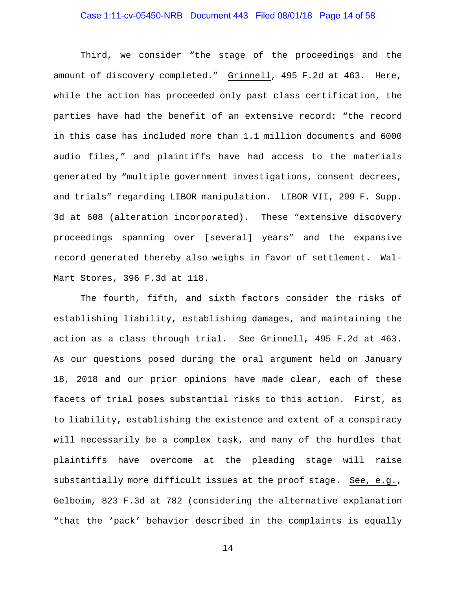# Case 1:11-cv-05450-NRB Document 443 Filed 08/01/18 Page 14 of 58

Third, we consider "the stage of the proceedings and the amount of discovery completed." Grinnell, 495 F.2d at 463. Here, while the action has proceeded only past class certification, the parties have had the benefit of an extensive record: "the record in this case has included more than 1.1 million documents and 6000 audio files," and plaintiffs have had access to the materials generated by "multiple government investigations, consent decrees, and trials" regarding LIBOR manipulation. LIBOR VII, 299 F. Supp. 3d at 608 (alteration incorporated). These "extensive discovery proceedings spanning over [several] years" and the expansive record generated thereby also weighs in favor of settlement. Wal-Mart Stores, 396 F.3d at 118.

The fourth, fifth, and sixth factors consider the risks of establishing liability, establishing damages, and maintaining the action as a class through trial. See Grinnell, 495 F.2d at 463. As our questions posed during the oral argument held on January 18, 2018 and our prior opinions have made clear, each of these facets of trial poses substantial risks to this action. First, as to liability, establishing the existence and extent of a conspiracy will necessarily be a complex task, and many of the hurdles that plaintiffs have overcome at the pleading stage will raise substantially more difficult issues at the proof stage. See, e.g., Gelboim, 823 F.3d at 782 (considering the alternative explanation "that the 'pack' behavior described in the complaints is equally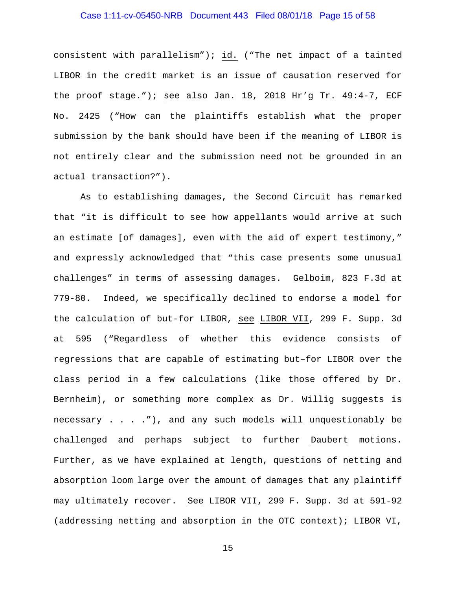# Case 1:11-cv-05450-NRB Document 443 Filed 08/01/18 Page 15 of 58

consistent with parallelism"); id. ("The net impact of a tainted LIBOR in the credit market is an issue of causation reserved for the proof stage."); see also Jan. 18, 2018 Hr'g Tr. 49:4-7, ECF No. 2425 ("How can the plaintiffs establish what the proper submission by the bank should have been if the meaning of LIBOR is not entirely clear and the submission need not be grounded in an actual transaction?").

As to establishing damages, the Second Circuit has remarked that "it is difficult to see how appellants would arrive at such an estimate [of damages], even with the aid of expert testimony," and expressly acknowledged that "this case presents some unusual challenges" in terms of assessing damages. Gelboim, 823 F.3d at 779-80. Indeed, we specifically declined to endorse a model for the calculation of but-for LIBOR, see LIBOR VII, 299 F. Supp. 3d at 595 ("Regardless of whether this evidence consists of regressions that are capable of estimating but–for LIBOR over the class period in a few calculations (like those offered by Dr. Bernheim), or something more complex as Dr. Willig suggests is necessary . . . ."), and any such models will unquestionably be challenged and perhaps subject to further Daubert motions. Further, as we have explained at length, questions of netting and absorption loom large over the amount of damages that any plaintiff may ultimately recover. See LIBOR VII, 299 F. Supp. 3d at 591-92 (addressing netting and absorption in the OTC context); LIBOR VI,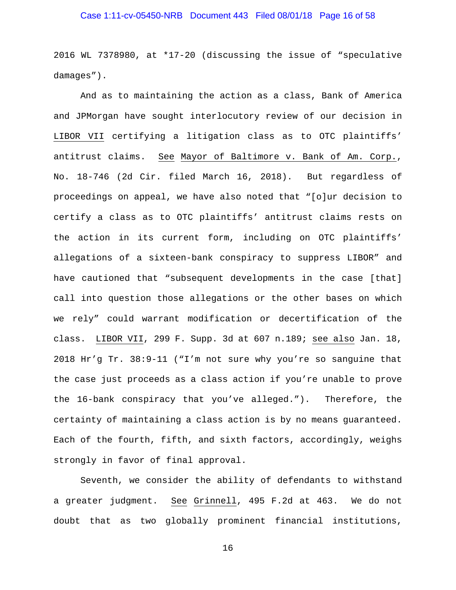# Case 1:11-cv-05450-NRB Document 443 Filed 08/01/18 Page 16 of 58

2016 WL 7378980, at \*17-20 (discussing the issue of "speculative damages").

And as to maintaining the action as a class, Bank of America and JPMorgan have sought interlocutory review of our decision in LIBOR VII certifying a litigation class as to OTC plaintiffs' antitrust claims. See Mayor of Baltimore v. Bank of Am. Corp., No. 18-746 (2d Cir. filed March 16, 2018). But regardless of proceedings on appeal, we have also noted that "[o]ur decision to certify a class as to OTC plaintiffs' antitrust claims rests on the action in its current form, including on OTC plaintiffs' allegations of a sixteen-bank conspiracy to suppress LIBOR" and have cautioned that "subsequent developments in the case [that] call into question those allegations or the other bases on which we rely" could warrant modification or decertification of the class. LIBOR VII, 299 F. Supp. 3d at 607 n.189; see also Jan. 18, 2018 Hr'g Tr. 38:9-11 ("I'm not sure why you're so sanguine that the case just proceeds as a class action if you're unable to prove the 16-bank conspiracy that you've alleged."). Therefore, the certainty of maintaining a class action is by no means guaranteed. Each of the fourth, fifth, and sixth factors, accordingly, weighs strongly in favor of final approval.

Seventh, we consider the ability of defendants to withstand a greater judgment. See Grinnell, 495 F.2d at 463. We do not doubt that as two globally prominent financial institutions,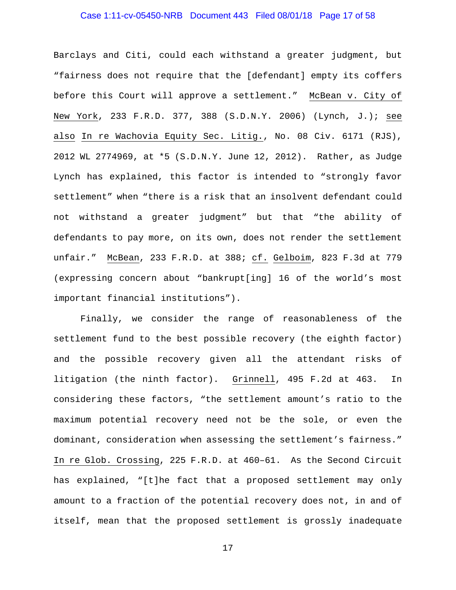# Case 1:11-cv-05450-NRB Document 443 Filed 08/01/18 Page 17 of 58

Barclays and Citi, could each withstand a greater judgment, but "fairness does not require that the [defendant] empty its coffers before this Court will approve a settlement." McBean v. City of New York, 233 F.R.D. 377, 388 (S.D.N.Y. 2006) (Lynch, J.); see also In re Wachovia Equity Sec. Litig., No. 08 Civ. 6171 (RJS), 2012 WL 2774969, at \*5 (S.D.N.Y. June 12, 2012). Rather, as Judge Lynch has explained, this factor is intended to "strongly favor settlement" when "there is a risk that an insolvent defendant could not withstand a greater judgment" but that "the ability of defendants to pay more, on its own, does not render the settlement unfair." McBean, 233 F.R.D. at 388; cf. Gelboim, 823 F.3d at 779 (expressing concern about "bankrupt[ing] 16 of the world's most important financial institutions").

Finally, we consider the range of reasonableness of the settlement fund to the best possible recovery (the eighth factor) and the possible recovery given all the attendant risks of litigation (the ninth factor). Grinnell, 495 F.2d at 463. In considering these factors, "the settlement amount's ratio to the maximum potential recovery need not be the sole, or even the dominant, consideration when assessing the settlement's fairness." In re Glob. Crossing, 225 F.R.D. at 460–61. As the Second Circuit has explained, "[t]he fact that a proposed settlement may only amount to a fraction of the potential recovery does not, in and of itself, mean that the proposed settlement is grossly inadequate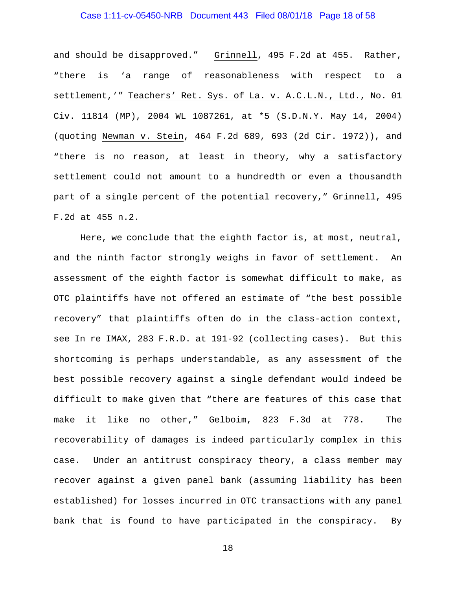# Case 1:11-cv-05450-NRB Document 443 Filed 08/01/18 Page 18 of 58

and should be disapproved." Grinnell, 495 F.2d at 455. Rather, "there is 'a range of reasonableness with respect to a settlement,'" Teachers' Ret. Sys. of La. v. A.C.L.N., Ltd., No. 01 Civ. 11814 (MP), 2004 WL 1087261, at \*5 (S.D.N.Y. May 14, 2004) (quoting Newman v. Stein, 464 F.2d 689, 693 (2d Cir. 1972)), and "there is no reason, at least in theory, why a satisfactory settlement could not amount to a hundredth or even a thousandth part of a single percent of the potential recovery," Grinnell, 495 F.2d at 455 n.2.

Here, we conclude that the eighth factor is, at most, neutral, and the ninth factor strongly weighs in favor of settlement. An assessment of the eighth factor is somewhat difficult to make, as OTC plaintiffs have not offered an estimate of "the best possible recovery" that plaintiffs often do in the class-action context, see In re IMAX, 283 F.R.D. at 191-92 (collecting cases). But this shortcoming is perhaps understandable, as any assessment of the best possible recovery against a single defendant would indeed be difficult to make given that "there are features of this case that make it like no other," Gelboim, 823 F.3d at 778. The recoverability of damages is indeed particularly complex in this case. Under an antitrust conspiracy theory, a class member may recover against a given panel bank (assuming liability has been established) for losses incurred in OTC transactions with any panel bank that is found to have participated in the conspiracy. By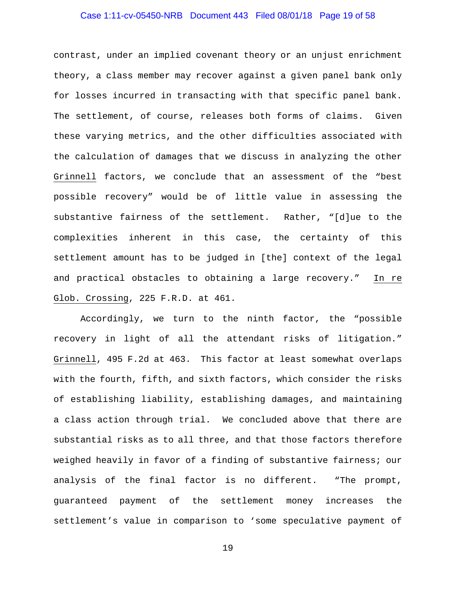# Case 1:11-cv-05450-NRB Document 443 Filed 08/01/18 Page 19 of 58

contrast, under an implied covenant theory or an unjust enrichment theory, a class member may recover against a given panel bank only for losses incurred in transacting with that specific panel bank. The settlement, of course, releases both forms of claims. Given these varying metrics, and the other difficulties associated with the calculation of damages that we discuss in analyzing the other Grinnell factors, we conclude that an assessment of the "best possible recovery" would be of little value in assessing the substantive fairness of the settlement. Rather, "[d]ue to the complexities inherent in this case, the certainty of this settlement amount has to be judged in [the] context of the legal and practical obstacles to obtaining a large recovery." In re Glob. Crossing, 225 F.R.D. at 461.

Accordingly, we turn to the ninth factor, the "possible recovery in light of all the attendant risks of litigation." Grinnell, 495 F.2d at 463. This factor at least somewhat overlaps with the fourth, fifth, and sixth factors, which consider the risks of establishing liability, establishing damages, and maintaining a class action through trial. We concluded above that there are substantial risks as to all three, and that those factors therefore weighed heavily in favor of a finding of substantive fairness; our analysis of the final factor is no different. "The prompt, guaranteed payment of the settlement money increases the settlement's value in comparison to 'some speculative payment of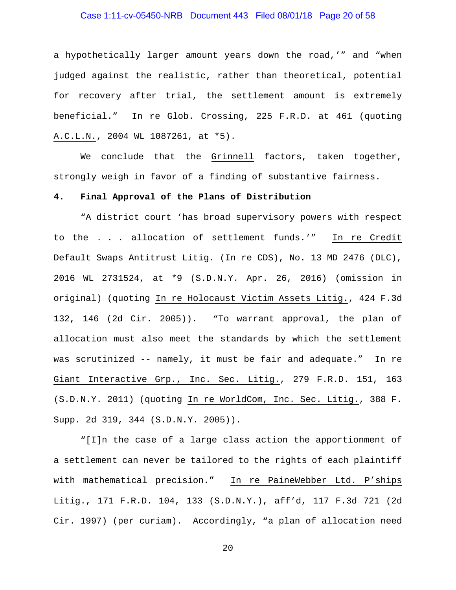# Case 1:11-cv-05450-NRB Document 443 Filed 08/01/18 Page 20 of 58

a hypothetically larger amount years down the road,'" and "when judged against the realistic, rather than theoretical, potential for recovery after trial, the settlement amount is extremely beneficial." In re Glob. Crossing, 225 F.R.D. at 461 (quoting A.C.L.N., 2004 WL 1087261, at \*5).

We conclude that the Grinnell factors, taken together, strongly weigh in favor of a finding of substantive fairness.

#### **4. Final Approval of the Plans of Distribution**

"A district court 'has broad supervisory powers with respect to the . . . allocation of settlement funds.'" In re Credit Default Swaps Antitrust Litig. (In re CDS), No. 13 MD 2476 (DLC), 2016 WL 2731524, at \*9 (S.D.N.Y. Apr. 26, 2016) (omission in original) (quoting In re Holocaust Victim Assets Litig., 424 F.3d 132, 146 (2d Cir. 2005)). "To warrant approval, the plan of allocation must also meet the standards by which the settlement was scrutinized -- namely, it must be fair and adequate." In re Giant Interactive Grp., Inc. Sec. Litig., 279 F.R.D. 151, 163 (S.D.N.Y. 2011) (quoting In re WorldCom, Inc. Sec. Litig., 388 F. Supp. 2d 319, 344 (S.D.N.Y. 2005)).

"[I]n the case of a large class action the apportionment of a settlement can never be tailored to the rights of each plaintiff with mathematical precision." In re PaineWebber Ltd. P'ships Litig., 171 F.R.D. 104, 133 (S.D.N.Y.), aff'd, 117 F.3d 721 (2d Cir. 1997) (per curiam). Accordingly, "a plan of allocation need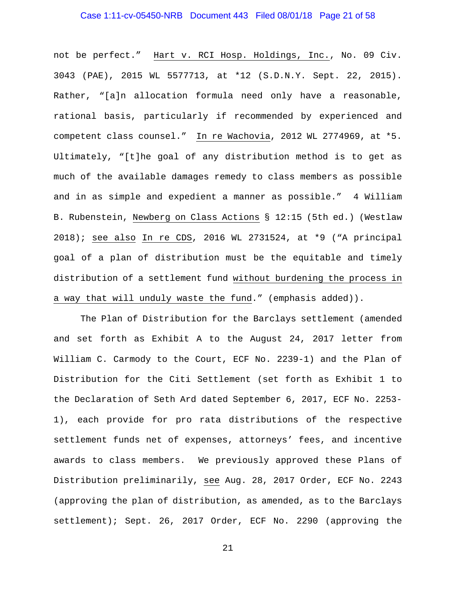# Case 1:11-cv-05450-NRB Document 443 Filed 08/01/18 Page 21 of 58

not be perfect." Hart v. RCI Hosp. Holdings, Inc., No. 09 Civ. 3043 (PAE), 2015 WL 5577713, at \*12 (S.D.N.Y. Sept. 22, 2015). Rather, "[a]n allocation formula need only have a reasonable, rational basis, particularly if recommended by experienced and competent class counsel." In re Wachovia, 2012 WL 2774969, at \*5. Ultimately, "[t]he goal of any distribution method is to get as much of the available damages remedy to class members as possible and in as simple and expedient a manner as possible." 4 William B. Rubenstein, Newberg on Class Actions § 12:15 (5th ed.) (Westlaw 2018); see also In re CDS, 2016 WL 2731524, at \*9 ("A principal goal of a plan of distribution must be the equitable and timely distribution of a settlement fund without burdening the process in a way that will unduly waste the fund." (emphasis added)).

The Plan of Distribution for the Barclays settlement (amended and set forth as Exhibit A to the August 24, 2017 letter from William C. Carmody to the Court, ECF No. 2239-1) and the Plan of Distribution for the Citi Settlement (set forth as Exhibit 1 to the Declaration of Seth Ard dated September 6, 2017, ECF No. 2253- 1), each provide for pro rata distributions of the respective settlement funds net of expenses, attorneys' fees, and incentive awards to class members. We previously approved these Plans of Distribution preliminarily, see Aug. 28, 2017 Order, ECF No. 2243 (approving the plan of distribution, as amended, as to the Barclays settlement); Sept. 26, 2017 Order, ECF No. 2290 (approving the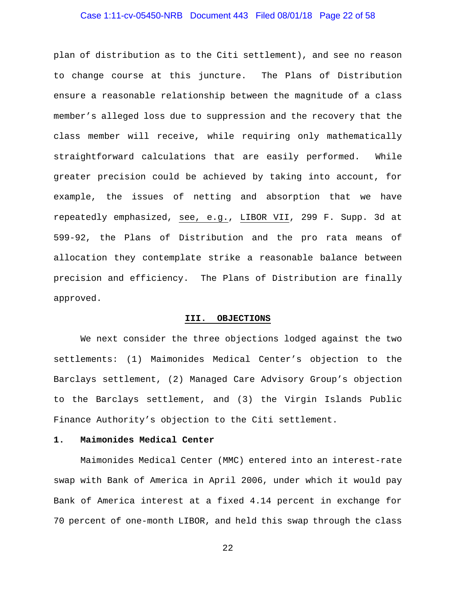# Case 1:11-cv-05450-NRB Document 443 Filed 08/01/18 Page 22 of 58

plan of distribution as to the Citi settlement), and see no reason to change course at this juncture. The Plans of Distribution ensure a reasonable relationship between the magnitude of a class member's alleged loss due to suppression and the recovery that the class member will receive, while requiring only mathematically straightforward calculations that are easily performed. While greater precision could be achieved by taking into account, for example, the issues of netting and absorption that we have repeatedly emphasized, see, e.g., LIBOR VII, 299 F. Supp. 3d at 599-92, the Plans of Distribution and the pro rata means of allocation they contemplate strike a reasonable balance between precision and efficiency. The Plans of Distribution are finally approved.

#### **III. OBJECTIONS**

We next consider the three objections lodged against the two settlements: (1) Maimonides Medical Center's objection to the Barclays settlement, (2) Managed Care Advisory Group's objection to the Barclays settlement, and (3) the Virgin Islands Public Finance Authority's objection to the Citi settlement.

#### **1. Maimonides Medical Center**

Maimonides Medical Center (MMC) entered into an interest-rate swap with Bank of America in April 2006, under which it would pay Bank of America interest at a fixed 4.14 percent in exchange for 70 percent of one-month LIBOR, and held this swap through the class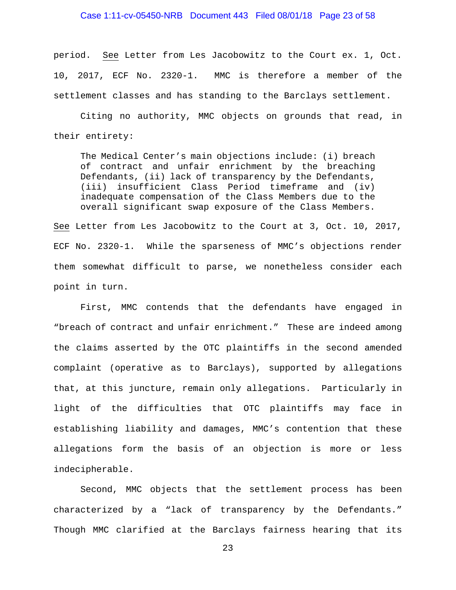# Case 1:11-cv-05450-NRB Document 443 Filed 08/01/18 Page 23 of 58

period. See Letter from Les Jacobowitz to the Court ex. 1, Oct. 10, 2017, ECF No. 2320-1. MMC is therefore a member of the settlement classes and has standing to the Barclays settlement.

Citing no authority, MMC objects on grounds that read, in their entirety:

The Medical Center's main objections include: (i) breach of contract and unfair enrichment by the breaching Defendants, (ii) lack of transparency by the Defendants, (iii) insufficient Class Period timeframe and (iv) inadequate compensation of the Class Members due to the overall significant swap exposure of the Class Members.

See Letter from Les Jacobowitz to the Court at 3, Oct. 10, 2017, ECF No. 2320-1. While the sparseness of MMC's objections render them somewhat difficult to parse, we nonetheless consider each point in turn.

First, MMC contends that the defendants have engaged in "breach of contract and unfair enrichment." These are indeed among the claims asserted by the OTC plaintiffs in the second amended complaint (operative as to Barclays), supported by allegations that, at this juncture, remain only allegations. Particularly in light of the difficulties that OTC plaintiffs may face in establishing liability and damages, MMC's contention that these allegations form the basis of an objection is more or less indecipherable.

Second, MMC objects that the settlement process has been characterized by a "lack of transparency by the Defendants." Though MMC clarified at the Barclays fairness hearing that its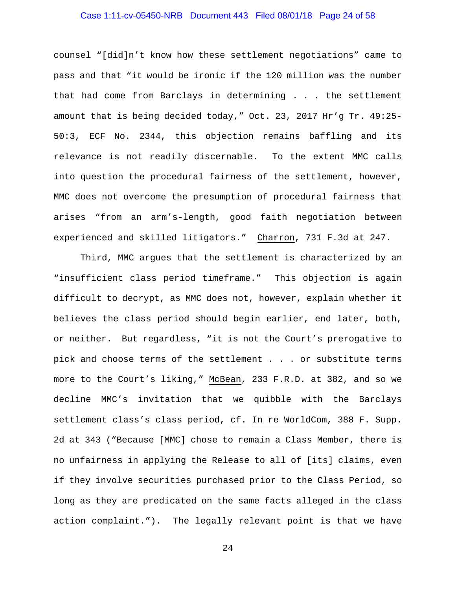# Case 1:11-cv-05450-NRB Document 443 Filed 08/01/18 Page 24 of 58

counsel "[did]n't know how these settlement negotiations" came to pass and that "it would be ironic if the 120 million was the number that had come from Barclays in determining . . . the settlement amount that is being decided today," Oct. 23, 2017 Hr'g Tr. 49:25- 50:3, ECF No. 2344, this objection remains baffling and its relevance is not readily discernable. To the extent MMC calls into question the procedural fairness of the settlement, however, MMC does not overcome the presumption of procedural fairness that arises "from an arm's-length, good faith negotiation between experienced and skilled litigators." Charron, 731 F.3d at 247.

Third, MMC argues that the settlement is characterized by an "insufficient class period timeframe." This objection is again difficult to decrypt, as MMC does not, however, explain whether it believes the class period should begin earlier, end later, both, or neither. But regardless, "it is not the Court's prerogative to pick and choose terms of the settlement . . . or substitute terms more to the Court's liking," McBean, 233 F.R.D. at 382, and so we decline MMC's invitation that we quibble with the Barclays settlement class's class period, cf. In re WorldCom, 388 F. Supp. 2d at 343 ("Because [MMC] chose to remain a Class Member, there is no unfairness in applying the Release to all of [its] claims, even if they involve securities purchased prior to the Class Period, so long as they are predicated on the same facts alleged in the class action complaint."). The legally relevant point is that we have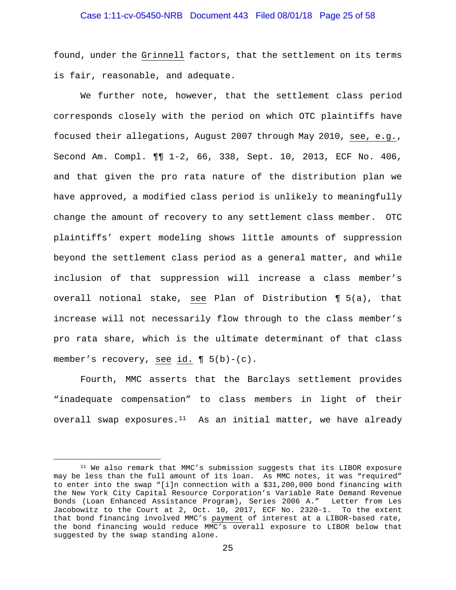# Case 1:11-cv-05450-NRB Document 443 Filed 08/01/18 Page 25 of 58

found, under the Grinnell factors, that the settlement on its terms is fair, reasonable, and adequate.

We further note, however, that the settlement class period corresponds closely with the period on which OTC plaintiffs have focused their allegations, August 2007 through May 2010, see, e.g., Second Am. Compl. ¶¶ 1-2, 66, 338, Sept. 10, 2013, ECF No. 406, and that given the pro rata nature of the distribution plan we have approved, a modified class period is unlikely to meaningfully change the amount of recovery to any settlement class member. OTC plaintiffs' expert modeling shows little amounts of suppression beyond the settlement class period as a general matter, and while inclusion of that suppression will increase a class member's overall notional stake, see Plan of Distribution ¶ 5(a), that increase will not necessarily flow through to the class member's pro rata share, which is the ultimate determinant of that class member's recovery, see  $\underline{\text{id.}}$  (  $5(b)-(c)$ .

Fourth, MMC asserts that the Barclays settlement provides "inadequate compensation" to class members in light of their overall swap exposures. $11$  As an initial matter, we have already

<span id="page-24-0"></span><sup>&</sup>lt;sup>11</sup> We also remark that MMC's submission suggests that its LIBOR exposure may be less than the full amount of its loan. As MMC notes, it was "required" to enter into the swap "[i]n connection with a \$31,200,000 bond financing with the New York City Capital Resource Corporation's Variable Rate Demand Revenue Bonds (Loan Enhanced Assistance Program), Series 2006 A." Letter from Les Jacobowitz to the Court at 2, Oct. 10, 2017, ECF No. 2320-1. To the extent that bond financing involved MMC's payment of interest at a LIBOR-based rate, the bond financing would reduce MMC's overall exposure to LIBOR below that suggested by the swap standing alone.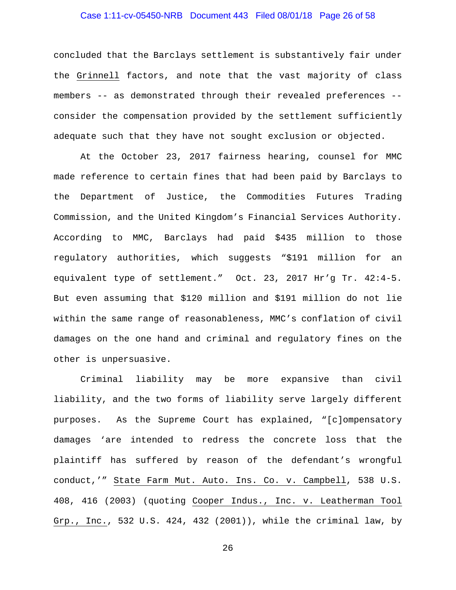# Case 1:11-cv-05450-NRB Document 443 Filed 08/01/18 Page 26 of 58

concluded that the Barclays settlement is substantively fair under the Grinnell factors, and note that the vast majority of class members -- as demonstrated through their revealed preferences - consider the compensation provided by the settlement sufficiently adequate such that they have not sought exclusion or objected.

At the October 23, 2017 fairness hearing, counsel for MMC made reference to certain fines that had been paid by Barclays to the Department of Justice, the Commodities Futures Trading Commission, and the United Kingdom's Financial Services Authority. According to MMC, Barclays had paid \$435 million to those regulatory authorities, which suggests "\$191 million for an equivalent type of settlement." Oct. 23, 2017 Hr'g Tr. 42:4-5. But even assuming that \$120 million and \$191 million do not lie within the same range of reasonableness, MMC's conflation of civil damages on the one hand and criminal and regulatory fines on the other is unpersuasive.

Criminal liability may be more expansive than civil liability, and the two forms of liability serve largely different purposes. As the Supreme Court has explained, "[c]ompensatory damages 'are intended to redress the concrete loss that the plaintiff has suffered by reason of the defendant's wrongful conduct,'" State Farm Mut. Auto. Ins. Co. v. Campbell, 538 U.S. 408, 416 (2003) (quoting Cooper Indus., Inc. v. Leatherman Tool Grp., Inc., 532 U.S. 424, 432 (2001)), while the criminal law, by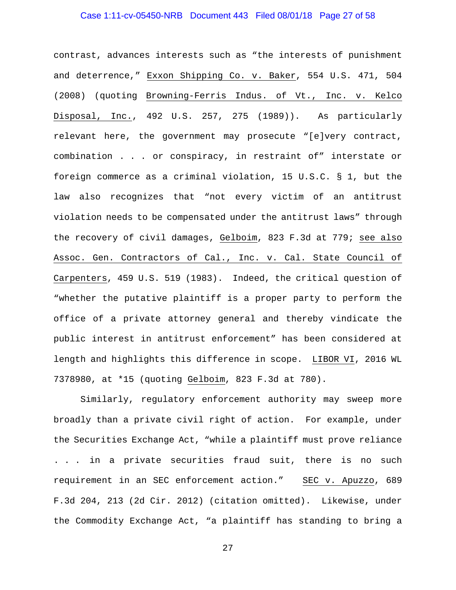# Case 1:11-cv-05450-NRB Document 443 Filed 08/01/18 Page 27 of 58

contrast, advances interests such as "the interests of punishment and deterrence," Exxon Shipping Co. v. Baker, 554 U.S. 471, 504 (2008) (quoting Browning-Ferris Indus. of Vt., Inc. v. Kelco Disposal, Inc., 492 U.S. 257, 275 (1989)). As particularly relevant here, the government may prosecute "[e]very contract, combination . . . or conspiracy, in restraint of" interstate or foreign commerce as a criminal violation, 15 U.S.C. § 1, but the law also recognizes that "not every victim of an antitrust violation needs to be compensated under the antitrust laws" through the recovery of civil damages, Gelboim, 823 F.3d at 779; see also Assoc. Gen. Contractors of Cal., Inc. v. Cal. State Council of Carpenters, 459 U.S. 519 (1983). Indeed, the critical question of "whether the putative plaintiff is a proper party to perform the office of a private attorney general and thereby vindicate the public interest in antitrust enforcement" has been considered at length and highlights this difference in scope. LIBOR VI, 2016 WL 7378980, at \*15 (quoting Gelboim, 823 F.3d at 780).

Similarly, regulatory enforcement authority may sweep more broadly than a private civil right of action. For example, under the Securities Exchange Act, "while a plaintiff must prove reliance . . . in a private securities fraud suit, there is no such requirement in an SEC enforcement action." SEC v. Apuzzo, 689 F.3d 204, 213 (2d Cir. 2012) (citation omitted). Likewise, under the Commodity Exchange Act, "a plaintiff has standing to bring a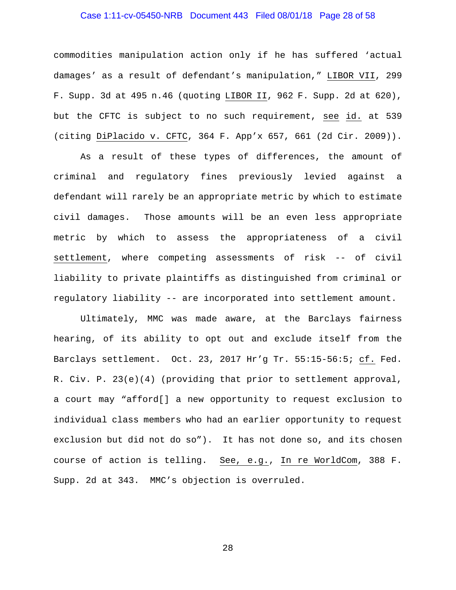# Case 1:11-cv-05450-NRB Document 443 Filed 08/01/18 Page 28 of 58

commodities manipulation action only if he has suffered 'actual damages' as a result of defendant's manipulation," LIBOR VII, 299 F. Supp. 3d at 495 n.46 (quoting LIBOR II, 962 F. Supp. 2d at 620), but the CFTC is subject to no such requirement, see id. at 539 (citing DiPlacido v. CFTC, 364 F. App'x 657, 661 (2d Cir. 2009)).

As a result of these types of differences, the amount of criminal and regulatory fines previously levied against a defendant will rarely be an appropriate metric by which to estimate civil damages. Those amounts will be an even less appropriate metric by which to assess the appropriateness of a civil settlement, where competing assessments of risk -- of civil liability to private plaintiffs as distinguished from criminal or regulatory liability -- are incorporated into settlement amount.

Ultimately, MMC was made aware, at the Barclays fairness hearing, of its ability to opt out and exclude itself from the Barclays settlement. Oct. 23, 2017 Hr'g Tr. 55:15-56:5; cf. Fed. R. Civ. P. 23(e)(4) (providing that prior to settlement approval, a court may "afford[] a new opportunity to request exclusion to individual class members who had an earlier opportunity to request exclusion but did not do so"). It has not done so, and its chosen course of action is telling. See, e.g., In re WorldCom, 388 F. Supp. 2d at 343. MMC's objection is overruled.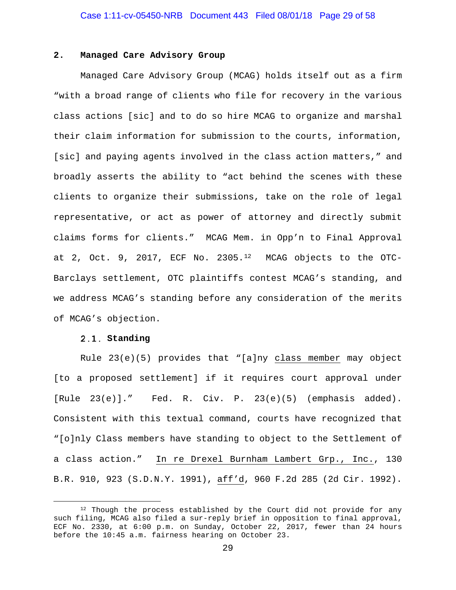#### **2. Managed Care Advisory Group**

Managed Care Advisory Group (MCAG) holds itself out as a firm "with a broad range of clients who file for recovery in the various class actions [sic] and to do so hire MCAG to organize and marshal their claim information for submission to the courts, information, [sic] and paying agents involved in the class action matters," and broadly asserts the ability to "act behind the scenes with these clients to organize their submissions, take on the role of legal representative, or act as power of attorney and directly submit claims forms for clients." MCAG Mem. in Opp'n to Final Approval at 2, Oct. 9, 2017, ECF No. 2305. $12$  MCAG objects to the OTC-Barclays settlement, OTC plaintiffs contest MCAG's standing, and we address MCAG's standing before any consideration of the merits of MCAG's objection.

#### **Standing**

Rule 23(e)(5) provides that "[a]ny class member may object [to a proposed settlement] if it requires court approval under [Rule 23(e)]." Fed. R. Civ. P. 23(e)(5) (emphasis added). Consistent with this textual command, courts have recognized that "[o]nly Class members have standing to object to the Settlement of a class action." In re Drexel Burnham Lambert Grp., Inc., 130 B.R. 910, 923 (S.D.N.Y. 1991), aff'd, 960 F.2d 285 (2d Cir. 1992).

<span id="page-28-0"></span><sup>&</sup>lt;sup>12</sup> Though the process established by the Court did not provide for any such filing, MCAG also filed a sur-reply brief in opposition to final approval, ECF No. 2330, at 6:00 p.m. on Sunday, October 22, 2017, fewer than 24 hours before the 10:45 a.m. fairness hearing on October 23.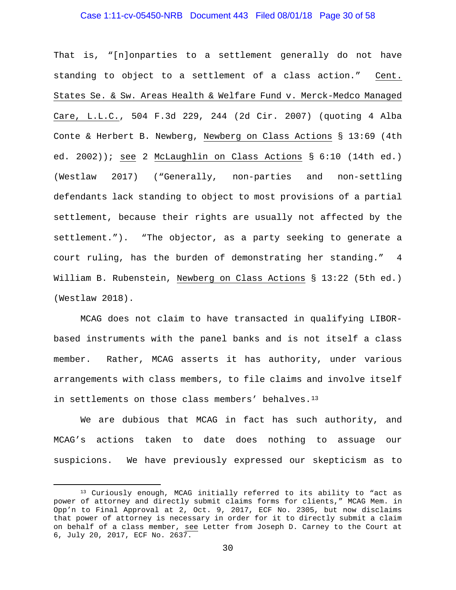#### Case 1:11-cv-05450-NRB Document 443 Filed 08/01/18 Page 30 of 58

That is, "[n]onparties to a settlement generally do not have standing to object to a settlement of a class action." Cent. States Se. & Sw. Areas Health & Welfare Fund v. Merck-Medco Managed Care, L.L.C., 504 F.3d 229, 244 (2d Cir. 2007) (quoting 4 Alba Conte & Herbert B. Newberg, Newberg on Class Actions § 13:69 (4th ed. 2002)); see 2 McLaughlin on Class Actions § 6:10 (14th ed.) (Westlaw 2017) ("Generally, non-parties and non-settling defendants lack standing to object to most provisions of a partial settlement, because their rights are usually not affected by the settlement."). "The objector, as a party seeking to generate a court ruling, has the burden of demonstrating her standing." 4 William B. Rubenstein, Newberg on Class Actions § 13:22 (5th ed.) (Westlaw 2018).

MCAG does not claim to have transacted in qualifying LIBORbased instruments with the panel banks and is not itself a class member. Rather, MCAG asserts it has authority, under various arrangements with class members, to file claims and involve itself in settlements on those class members' behalves.[13](#page-29-0)

We are dubious that MCAG in fact has such authority, and MCAG's actions taken to date does nothing to assuage our suspicions. We have previously expressed our skepticism as to

<span id="page-29-0"></span><sup>13</sup> Curiously enough, MCAG initially referred to its ability to "act as power of attorney and directly submit claims forms for clients," MCAG Mem. in Opp'n to Final Approval at 2, Oct. 9, 2017, ECF No. 2305, but now disclaims that power of attorney is necessary in order for it to directly submit a claim on behalf of a class member, see Letter from Joseph D. Carney to the Court at 6, July 20, 2017, ECF No. 2637.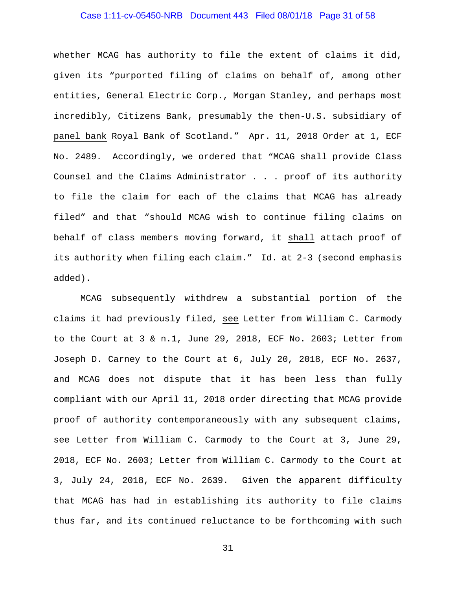# Case 1:11-cv-05450-NRB Document 443 Filed 08/01/18 Page 31 of 58

whether MCAG has authority to file the extent of claims it did, given its "purported filing of claims on behalf of, among other entities, General Electric Corp., Morgan Stanley, and perhaps most incredibly, Citizens Bank, presumably the then-U.S. subsidiary of panel bank Royal Bank of Scotland." Apr. 11, 2018 Order at 1, ECF No. 2489. Accordingly, we ordered that "MCAG shall provide Class Counsel and the Claims Administrator . . . proof of its authority to file the claim for each of the claims that MCAG has already filed" and that "should MCAG wish to continue filing claims on behalf of class members moving forward, it shall attach proof of its authority when filing each claim." Id. at 2-3 (second emphasis added).

MCAG subsequently withdrew a substantial portion of the claims it had previously filed, see Letter from William C. Carmody to the Court at 3 & n.1, June 29, 2018, ECF No. 2603; Letter from Joseph D. Carney to the Court at 6, July 20, 2018, ECF No. 2637, and MCAG does not dispute that it has been less than fully compliant with our April 11, 2018 order directing that MCAG provide proof of authority contemporaneously with any subsequent claims, see Letter from William C. Carmody to the Court at 3, June 29, 2018, ECF No. 2603; Letter from William C. Carmody to the Court at 3, July 24, 2018, ECF No. 2639. Given the apparent difficulty that MCAG has had in establishing its authority to file claims thus far, and its continued reluctance to be forthcoming with such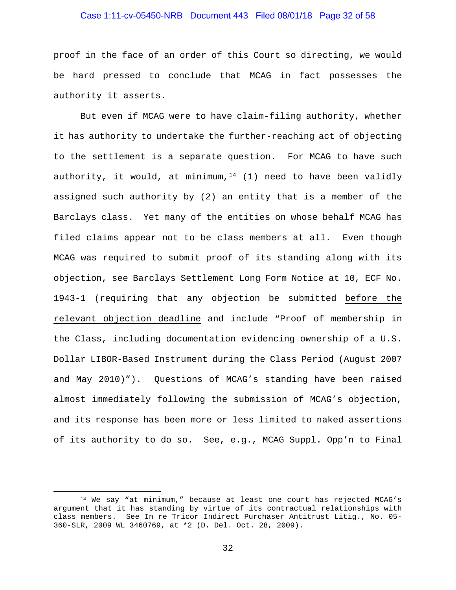# Case 1:11-cv-05450-NRB Document 443 Filed 08/01/18 Page 32 of 58

proof in the face of an order of this Court so directing, we would be hard pressed to conclude that MCAG in fact possesses the authority it asserts.

But even if MCAG were to have claim-filing authority, whether it has authority to undertake the further-reaching act of objecting to the settlement is a separate question. For MCAG to have such authority, it would, at minimum, $14$  (1) need to have been validly assigned such authority by (2) an entity that is a member of the Barclays class. Yet many of the entities on whose behalf MCAG has filed claims appear not to be class members at all. Even though MCAG was required to submit proof of its standing along with its objection, see Barclays Settlement Long Form Notice at 10, ECF No. 1943-1 (requiring that any objection be submitted before the relevant objection deadline and include "Proof of membership in the Class, including documentation evidencing ownership of a U.S. Dollar LIBOR-Based Instrument during the Class Period (August 2007 and May 2010)"). Questions of MCAG's standing have been raised almost immediately following the submission of MCAG's objection, and its response has been more or less limited to naked assertions of its authority to do so. See, e.g., MCAG Suppl. Opp'n to Final

<span id="page-31-0"></span> <sup>14</sup> We say "at minimum," because at least one court has rejected MCAG's argument that it has standing by virtue of its contractual relationships with class members. See In re Tricor Indirect Purchaser Antitrust Litig., No. 05- 360-SLR, 2009 WL 3460769, at \*2 (D. Del. Oct. 28, 2009).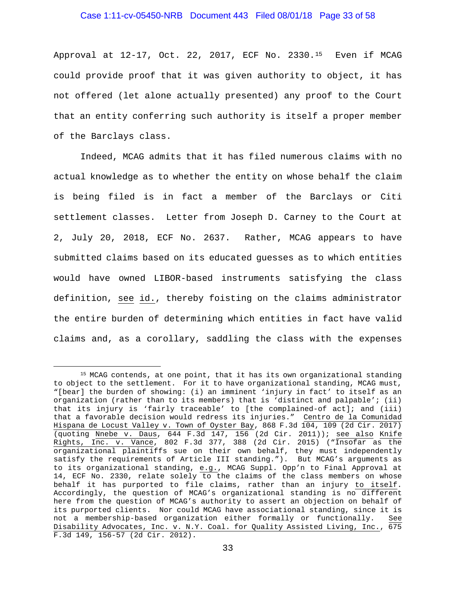#### Case 1:11-cv-05450-NRB Document 443 Filed 08/01/18 Page 33 of 58

Approval at 12-17, Oct. 22, 2017, ECF No. 2330.[15](#page-32-0) Even if MCAG could provide proof that it was given authority to object, it has not offered (let alone actually presented) any proof to the Court that an entity conferring such authority is itself a proper member of the Barclays class.

Indeed, MCAG admits that it has filed numerous claims with no actual knowledge as to whether the entity on whose behalf the claim is being filed is in fact a member of the Barclays or Citi settlement classes. Letter from Joseph D. Carney to the Court at 2, July 20, 2018, ECF No. 2637. Rather, MCAG appears to have submitted claims based on its educated guesses as to which entities would have owned LIBOR-based instruments satisfying the class definition, see id., thereby foisting on the claims administrator the entire burden of determining which entities in fact have valid claims and, as a corollary, saddling the class with the expenses

<span id="page-32-0"></span> <sup>15</sup> MCAG contends, at one point, that it has its own organizational standing to object to the settlement. For it to have organizational standing, MCAG must, "[bear] the burden of showing: (i) an imminent 'injury in fact' to itself as an organization (rather than to its members) that is 'distinct and palpable'; (ii) that its injury is 'fairly traceable' to [the complained-of act]; and (iii) that a favorable decision would redress its injuries." Centro de la Comunidad Hispana de Locust Valley v. Town of Oyster Bay, 868 F.3d 104, 109 (2d Cir. 2017) (quoting Nnebe v. Daus, 644 F.3d 147, 156 (2d Cir. 2011)); see also Knife Rights, Inc. v. Vance, 802 F.3d 377, 388 (2d Cir. 2015) ("Insofar as the organizational plaintiffs sue on their own behalf, they must independently satisfy the requirements of Article III standing."). But MCAG's arguments as to its organizational standing, e.g., MCAG Suppl. Opp'n to Final Approval at 14, ECF No. 2330, relate solely to the claims of the class members on whose behalf it has purported to file claims, rather than an injury to itself. Accordingly, the question of MCAG's organizational standing is no different here from the question of MCAG's authority to assert an objection on behalf of its purported clients. Nor could MCAG have associational standing, since it is not a membership-based organization either formally or functionally. See Disability Advocates, Inc. v. N.Y. Coal. for Quality Assisted Living, Inc., 675 F.3d 149, 156-57 (2d Cir. 2012).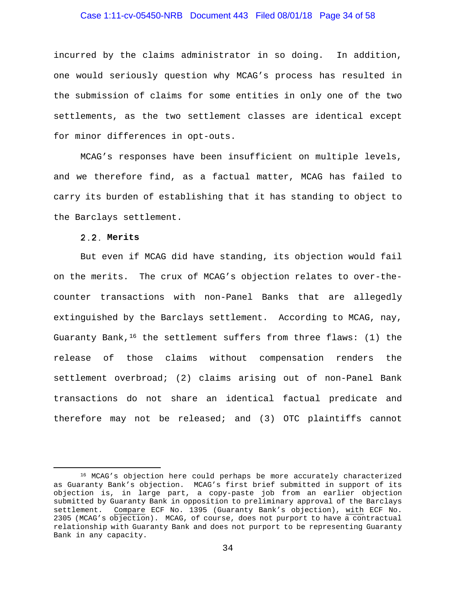# Case 1:11-cv-05450-NRB Document 443 Filed 08/01/18 Page 34 of 58

incurred by the claims administrator in so doing. In addition, one would seriously question why MCAG's process has resulted in the submission of claims for some entities in only one of the two settlements, as the two settlement classes are identical except for minor differences in opt-outs.

MCAG's responses have been insufficient on multiple levels, and we therefore find, as a factual matter, MCAG has failed to carry its burden of establishing that it has standing to object to the Barclays settlement.

#### **Merits**

But even if MCAG did have standing, its objection would fail on the merits. The crux of MCAG's objection relates to over-thecounter transactions with non-Panel Banks that are allegedly extinguished by the Barclays settlement. According to MCAG, nay, Guaranty Bank,  $^{16}$  $^{16}$  $^{16}$  the settlement suffers from three flaws: (1) the release of those claims without compensation renders the settlement overbroad; (2) claims arising out of non-Panel Bank transactions do not share an identical factual predicate and therefore may not be released; and (3) OTC plaintiffs cannot

<span id="page-33-0"></span><sup>&</sup>lt;sup>16</sup> MCAG's objection here could perhaps be more accurately characterized as Guaranty Bank's objection. MCAG's first brief submitted in support of its objection is, in large part, a copy-paste job from an earlier objection submitted by Guaranty Bank in opposition to preliminary approval of the Barclays<br>settlement. Compare ECF No. 1395 (Guaranty Bank's objection), with ECF No. Compare ECF No. 1395 (Guaranty Bank's objection), with ECF No. 2305 (MCAG's objection). MCAG, of course, does not purport to have a contractual relationship with Guaranty Bank and does not purport to be representing Guaranty Bank in any capacity.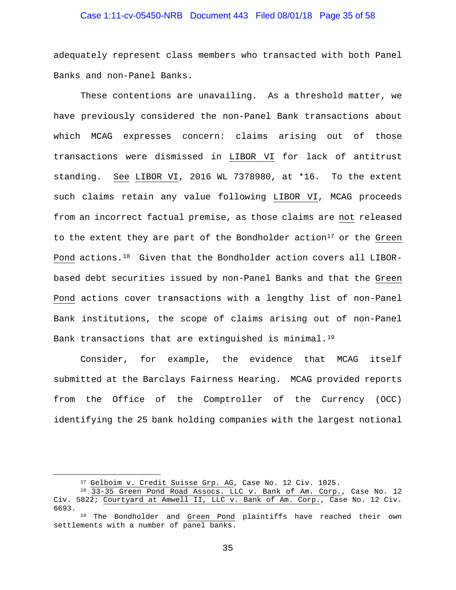# Case 1:11-cv-05450-NRB Document 443 Filed 08/01/18 Page 35 of 58

adequately represent class members who transacted with both Panel Banks and non-Panel Banks.

These contentions are unavailing. As a threshold matter, we have previously considered the non-Panel Bank transactions about which MCAG expresses concern: claims arising out of those transactions were dismissed in LIBOR VI for lack of antitrust standing. See LIBOR VI, 2016 WL 7378980, at \*16. To the extent such claims retain any value following LIBOR VI, MCAG proceeds from an incorrect factual premise, as those claims are not released to the extent they are part of the Bondholder action<sup>[17](#page-34-0)</sup> or the Green Pond actions.[18](#page-34-1) Given that the Bondholder action covers all LIBORbased debt securities issued by non-Panel Banks and that the Green Pond actions cover transactions with a lengthy list of non-Panel Bank institutions, the scope of claims arising out of non-Panel Bank transactions that are extinguished is minimal.<sup>[19](#page-34-2)</sup>

Consider, for example, the evidence that MCAG itself submitted at the Barclays Fairness Hearing. MCAG provided reports from the Office of the Comptroller of the Currency (OCC) identifying the 25 bank holding companies with the largest notional

 <sup>17</sup> Gelboim v. Credit Suisse Grp. AG, Case No. 12 Civ. 1025.

<span id="page-34-1"></span><span id="page-34-0"></span><sup>18 33-35</sup> Green Pond Road Assocs. LLC v. Bank of Am. Corp., Case No. 12 Civ. 5822; Courtyard at Amwell II, LLC v. Bank of Am. Corp., Case No. 12 Civ. 6693.

<span id="page-34-2"></span><sup>&</sup>lt;sup>19</sup> The Bondholder and Green Pond plaintiffs have reached their own settlements with a number of panel banks.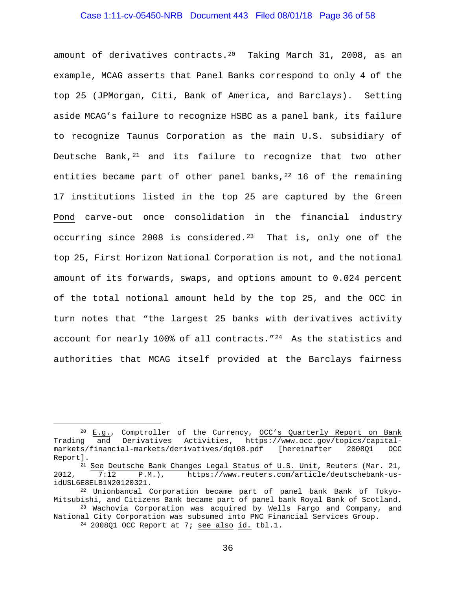# Case 1:11-cv-05450-NRB Document 443 Filed 08/01/18 Page 36 of 58

amount of derivatives contracts.[20](#page-35-0) Taking March 31, 2008, as an example, MCAG asserts that Panel Banks correspond to only 4 of the top 25 (JPMorgan, Citi, Bank of America, and Barclays). Setting aside MCAG's failure to recognize HSBC as a panel bank, its failure to recognize Taunus Corporation as the main U.S. subsidiary of Deutsche Bank, $21$  and its failure to recognize that two other entities became part of other panel banks,  $22$  16 of the remaining 17 institutions listed in the top 25 are captured by the Green Pond carve-out once consolidation in the financial industry occurring since 2008 is considered.<sup>23</sup> That is, only one of the top 25, First Horizon National Corporation is not, and the notional amount of its forwards, swaps, and options amount to 0.024 percent of the total notional amount held by the top 25, and the OCC in turn notes that "the largest 25 banks with derivatives activity account for nearly 100% of all contracts." $^{24}$  As the statistics and authorities that MCAG itself provided at the Barclays fairness

<span id="page-35-0"></span><sup>&</sup>lt;sup>20</sup> E.g., Comptroller of the Currency, OCC's Quarterly Report on Bank<br>Trading and Derivatives Activities, https://www.occ.gov/topics/capitaland Derivatives Activities, https://www.occ.gov/topics/capital-<br>financial-markets/derivatives/dg108.pdf [hereinafter 200801 OCC markets/financial-markets/derivatives/dq108.pdf [hereinafter Report].

<span id="page-35-1"></span><sup>&</sup>lt;sup>21</sup> See Deutsche Bank Changes Legal Status of U.S. Unit, Reuters (Mar. 21, 2012,  $\frac{12}{7:12}$  P.M.), https://www.reuters.com/article/deutschebank-us-2012, 7:12 P.M.), https://www.reuters.com/article/deutschebank-usidUSL6E8ELB1N20120321.

<span id="page-35-2"></span><sup>22</sup> Unionbancal Corporation became part of panel bank Bank of Tokyo-Mitsubishi, and Citizens Bank became part of panel bank Royal Bank of Scotland. <sup>23</sup> Wachovia Corporation was acquired by Wells Fargo and Company, and

<span id="page-35-4"></span><span id="page-35-3"></span>National City Corporation was subsumed into PNC Financial Services Group.

<sup>24</sup> 2008Q1 OCC Report at 7; see also id. tbl.1.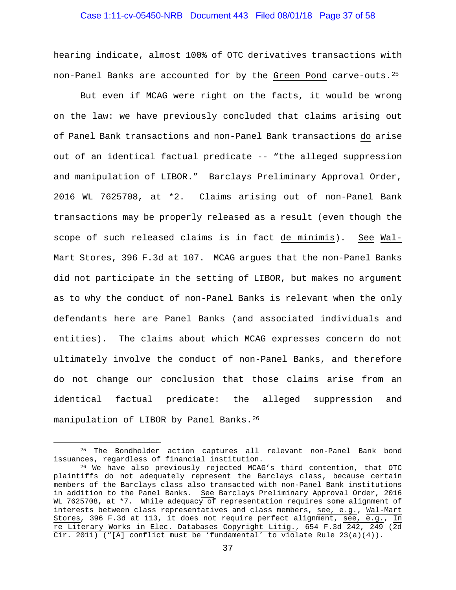# Case 1:11-cv-05450-NRB Document 443 Filed 08/01/18 Page 37 of 58

hearing indicate, almost 100% of OTC derivatives transactions with non-Panel Banks are accounted for by the Green Pond carve-outs.[25](#page-36-0)

But even if MCAG were right on the facts, it would be wrong on the law: we have previously concluded that claims arising out of Panel Bank transactions and non-Panel Bank transactions do arise out of an identical factual predicate -- "the alleged suppression and manipulation of LIBOR." Barclays Preliminary Approval Order, 2016 WL 7625708, at \*2. Claims arising out of non-Panel Bank transactions may be properly released as a result (even though the scope of such released claims is in fact de minimis). See Wal-Mart Stores, 396 F.3d at 107. MCAG argues that the non-Panel Banks did not participate in the setting of LIBOR, but makes no argument as to why the conduct of non-Panel Banks is relevant when the only defendants here are Panel Banks (and associated individuals and entities). The claims about which MCAG expresses concern do not ultimately involve the conduct of non-Panel Banks, and therefore do not change our conclusion that those claims arise from an identical factual predicate: the alleged suppression and manipulation of LIBOR by Panel Banks.<sup>[26](#page-36-1)</sup>

<span id="page-36-0"></span><sup>&</sup>lt;sup>25</sup> The Bondholder action captures all relevant non-Panel Bank bond issuances, regardless of financial institution.

<span id="page-36-1"></span> $16$  We have also previously rejected MCAG's third contention, that OTC plaintiffs do not adequately represent the Barclays class, because certain members of the Barclays class also transacted with non-Panel Bank institutions in addition to the Panel Banks. See Barclays Preliminary Approval Order, 2016 WL 7625708, at \*7. While adequacy of representation requires some alignment of interests between class representatives and class members, see, e.g., Wal-Mart Stores, 396 F.3d at 113, it does not require perfect alignment, see, e.g., In re Literary Works in Elec. Databases Copyright Litig., 654 F.3d 242, 249 (2d Cir. 2011) ("[A] conflict must be 'fundamental' to violate Rule  $23(a)(4)$ ).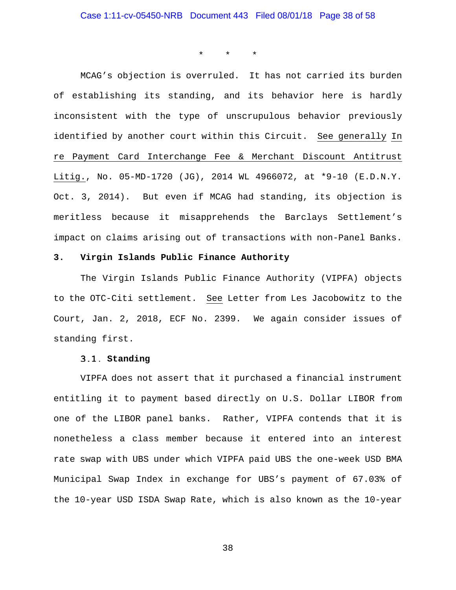\* \* \*

MCAG's objection is overruled. It has not carried its burden of establishing its standing, and its behavior here is hardly inconsistent with the type of unscrupulous behavior previously identified by another court within this Circuit. See generally In re Payment Card Interchange Fee & Merchant Discount Antitrust Litig., No. 05-MD-1720 (JG), 2014 WL 4966072, at \*9-10 (E.D.N.Y. Oct. 3, 2014). But even if MCAG had standing, its objection is meritless because it misapprehends the Barclays Settlement's impact on claims arising out of transactions with non-Panel Banks.

#### **3. Virgin Islands Public Finance Authority**

The Virgin Islands Public Finance Authority (VIPFA) objects to the OTC-Citi settlement. See Letter from Les Jacobowitz to the Court, Jan. 2, 2018, ECF No. 2399. We again consider issues of standing first.

#### **Standing**

VIPFA does not assert that it purchased a financial instrument entitling it to payment based directly on U.S. Dollar LIBOR from one of the LIBOR panel banks. Rather, VIPFA contends that it is nonetheless a class member because it entered into an interest rate swap with UBS under which VIPFA paid UBS the one-week USD BMA Municipal Swap Index in exchange for UBS's payment of 67.03% of the 10-year USD ISDA Swap Rate, which is also known as the 10-year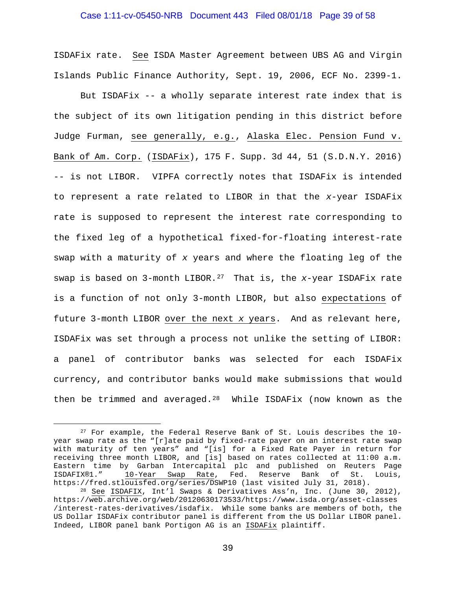# Case 1:11-cv-05450-NRB Document 443 Filed 08/01/18 Page 39 of 58

ISDAFix rate. See ISDA Master Agreement between UBS AG and Virgin Islands Public Finance Authority, Sept. 19, 2006, ECF No. 2399-1.

But ISDAFix -- a wholly separate interest rate index that is the subject of its own litigation pending in this district before Judge Furman, see generally, e.g., Alaska Elec. Pension Fund v. Bank of Am. Corp. (ISDAFix), 175 F. Supp. 3d 44, 51 (S.D.N.Y. 2016) -- is not LIBOR. VIPFA correctly notes that ISDAFix is intended to represent a rate related to LIBOR in that the *x*-year ISDAFix rate is supposed to represent the interest rate corresponding to the fixed leg of a hypothetical fixed-for-floating interest-rate swap with a maturity of *x* years and where the floating leg of the swap is based on 3-month LIBOR[.27](#page-38-0) That is, the *x*-year ISDAFix rate is a function of not only 3-month LIBOR, but also expectations of future 3-month LIBOR over the next *x* years. And as relevant here, ISDAFix was set through a process not unlike the setting of LIBOR: a panel of contributor banks was selected for each ISDAFix currency, and contributor banks would make submissions that would then be trimmed and averaged[.28](#page-38-1) While ISDAFix (now known as the

<span id="page-38-0"></span> <sup>27</sup> For example, the Federal Reserve Bank of St. Louis describes the 10 year swap rate as the "[r]ate paid by fixed-rate payer on an interest rate swap with maturity of ten years" and "[is] for a Fixed Rate Payer in return for receiving three month LIBOR, and [is] based on rates collected at 11:00 a.m. Eastern time by Garban Intercapital plc and published on Reuters Page<br>ISDAFIX®1." 10-Year Swap Rate, Fed. Reserve Bank of St. Louis, 10-Year Swap Rate, Fed. https://fred.stlouisfed.org/series/DSWP10 (last visited July 31, 2018).

<span id="page-38-1"></span><sup>28</sup> See ISDAFIX, Int'l Swaps & Derivatives Ass'n, Inc. (June 30, 2012), https://web.archive.org/web/20120630173533/https://www.isda.org/asset-classes /interest-rates-derivatives/isdafix. While some banks are members of both, the US Dollar ISDAFix contributor panel is different from the US Dollar LIBOR panel. Indeed, LIBOR panel bank Portigon AG is an ISDAFix plaintiff.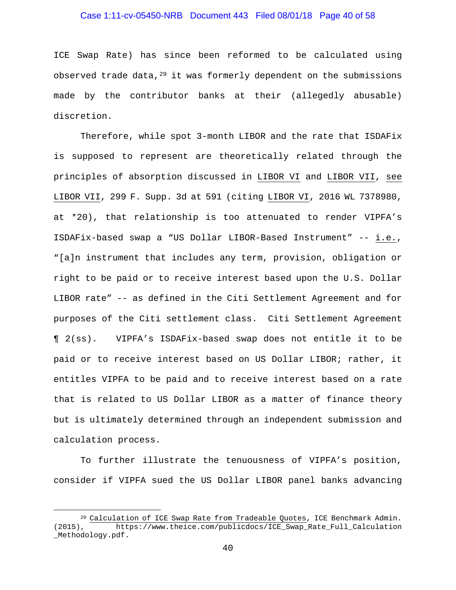# Case 1:11-cv-05450-NRB Document 443 Filed 08/01/18 Page 40 of 58

ICE Swap Rate) has since been reformed to be calculated using observed trade data,  $29$  it was formerly dependent on the submissions made by the contributor banks at their (allegedly abusable) discretion.

Therefore, while spot 3-month LIBOR and the rate that ISDAFix is supposed to represent are theoretically related through the principles of absorption discussed in LIBOR VI and LIBOR VII, see LIBOR VII, 299 F. Supp. 3d at 591 (citing LIBOR VI, 2016 WL 7378980, at \*20), that relationship is too attenuated to render VIPFA's ISDAFix-based swap a "US Dollar LIBOR-Based Instrument" -- i.e., "[a]n instrument that includes any term, provision, obligation or right to be paid or to receive interest based upon the U.S. Dollar LIBOR rate" -- as defined in the Citi Settlement Agreement and for purposes of the Citi settlement class. Citi Settlement Agreement ¶ 2(ss). VIPFA's ISDAFix-based swap does not entitle it to be paid or to receive interest based on US Dollar LIBOR; rather, it entitles VIPFA to be paid and to receive interest based on a rate that is related to US Dollar LIBOR as a matter of finance theory but is ultimately determined through an independent submission and calculation process.

To further illustrate the tenuousness of VIPFA's position, consider if VIPFA sued the US Dollar LIBOR panel banks advancing

<span id="page-39-0"></span><sup>&</sup>lt;sup>29</sup> Calculation of ICE Swap Rate from Tradeable Quotes, ICE Benchmark Admin.<br>(2015), https://www.theice.com/publicdocs/ICE Swap Rate Full Calculation https://www.theice.com/publicdocs/ICE\_Swap\_Rate\_Full\_Calculation \_Methodology.pdf.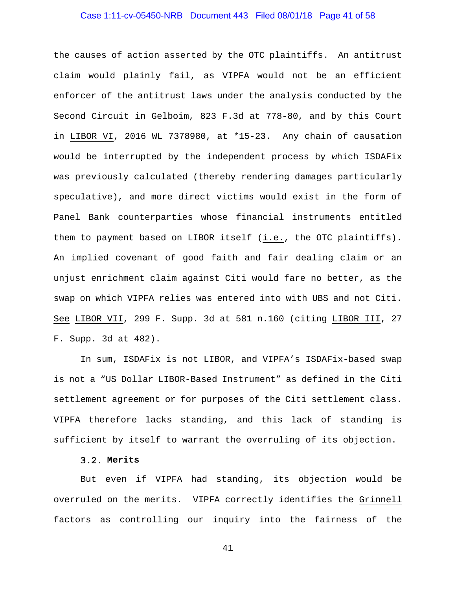# Case 1:11-cv-05450-NRB Document 443 Filed 08/01/18 Page 41 of 58

the causes of action asserted by the OTC plaintiffs. An antitrust claim would plainly fail, as VIPFA would not be an efficient enforcer of the antitrust laws under the analysis conducted by the Second Circuit in Gelboim, 823 F.3d at 778-80, and by this Court in LIBOR VI, 2016 WL 7378980, at \*15-23. Any chain of causation would be interrupted by the independent process by which ISDAFix was previously calculated (thereby rendering damages particularly speculative), and more direct victims would exist in the form of Panel Bank counterparties whose financial instruments entitled them to payment based on LIBOR itself (i.e., the OTC plaintiffs). An implied covenant of good faith and fair dealing claim or an unjust enrichment claim against Citi would fare no better, as the swap on which VIPFA relies was entered into with UBS and not Citi. See LIBOR VII, 299 F. Supp. 3d at 581 n.160 (citing LIBOR III, 27 F. Supp. 3d at 482).

In sum, ISDAFix is not LIBOR, and VIPFA's ISDAFix-based swap is not a "US Dollar LIBOR-Based Instrument" as defined in the Citi settlement agreement or for purposes of the Citi settlement class. VIPFA therefore lacks standing, and this lack of standing is sufficient by itself to warrant the overruling of its objection.

# **Merits**

But even if VIPFA had standing, its objection would be overruled on the merits. VIPFA correctly identifies the Grinnell factors as controlling our inquiry into the fairness of the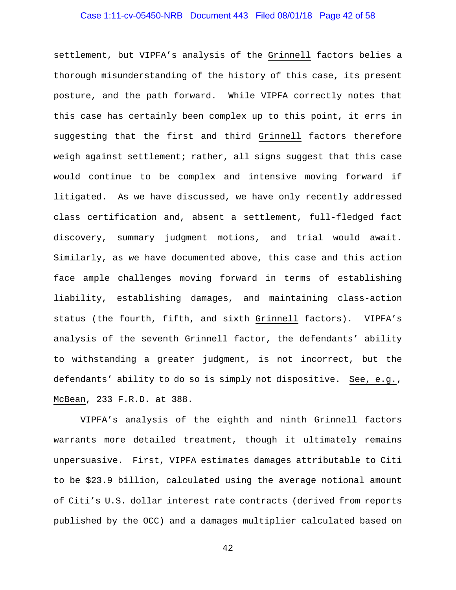# Case 1:11-cv-05450-NRB Document 443 Filed 08/01/18 Page 42 of 58

settlement, but VIPFA's analysis of the Grinnell factors belies a thorough misunderstanding of the history of this case, its present posture, and the path forward. While VIPFA correctly notes that this case has certainly been complex up to this point, it errs in suggesting that the first and third Grinnell factors therefore weigh against settlement; rather, all signs suggest that this case would continue to be complex and intensive moving forward if litigated. As we have discussed, we have only recently addressed class certification and, absent a settlement, full-fledged fact discovery, summary judgment motions, and trial would await. Similarly, as we have documented above, this case and this action face ample challenges moving forward in terms of establishing liability, establishing damages, and maintaining class-action status (the fourth, fifth, and sixth Grinnell factors). VIPFA's analysis of the seventh Grinnell factor, the defendants' ability to withstanding a greater judgment, is not incorrect, but the defendants' ability to do so is simply not dispositive. See, e.g., McBean, 233 F.R.D. at 388.

VIPFA's analysis of the eighth and ninth Grinnell factors warrants more detailed treatment, though it ultimately remains unpersuasive. First, VIPFA estimates damages attributable to Citi to be \$23.9 billion, calculated using the average notional amount of Citi's U.S. dollar interest rate contracts (derived from reports published by the OCC) and a damages multiplier calculated based on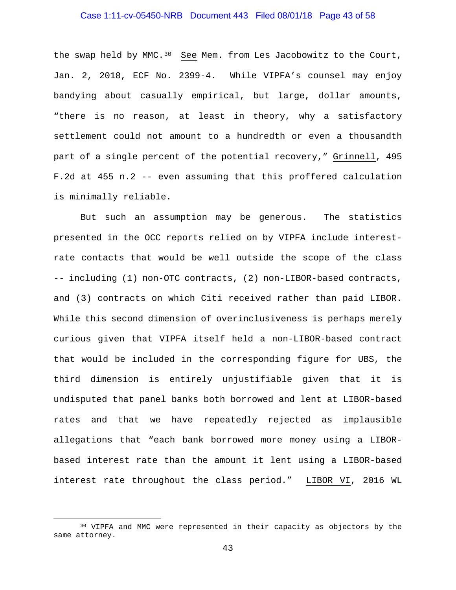# Case 1:11-cv-05450-NRB Document 443 Filed 08/01/18 Page 43 of 58

the swap held by MMC. $30$  See Mem. from Les Jacobowitz to the Court, Jan. 2, 2018, ECF No. 2399-4. While VIPFA's counsel may enjoy bandying about casually empirical, but large, dollar amounts, "there is no reason, at least in theory, why a satisfactory settlement could not amount to a hundredth or even a thousandth part of a single percent of the potential recovery," Grinnell, 495 F.2d at 455 n.2 -- even assuming that this proffered calculation is minimally reliable.

But such an assumption may be generous. The statistics presented in the OCC reports relied on by VIPFA include interestrate contacts that would be well outside the scope of the class -- including (1) non-OTC contracts, (2) non-LIBOR-based contracts, and (3) contracts on which Citi received rather than paid LIBOR. While this second dimension of overinclusiveness is perhaps merely curious given that VIPFA itself held a non-LIBOR-based contract that would be included in the corresponding figure for UBS, the third dimension is entirely unjustifiable given that it is undisputed that panel banks both borrowed and lent at LIBOR-based rates and that we have repeatedly rejected as implausible allegations that "each bank borrowed more money using a LIBORbased interest rate than the amount it lent using a LIBOR-based interest rate throughout the class period." LIBOR VI, 2016 WL

<span id="page-42-0"></span> <sup>30</sup> VIPFA and MMC were represented in their capacity as objectors by the same attorney.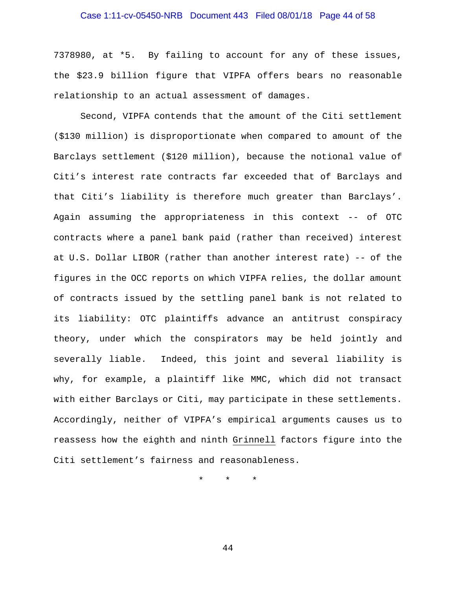# Case 1:11-cv-05450-NRB Document 443 Filed 08/01/18 Page 44 of 58

7378980, at \*5. By failing to account for any of these issues, the \$23.9 billion figure that VIPFA offers bears no reasonable relationship to an actual assessment of damages.

Second, VIPFA contends that the amount of the Citi settlement (\$130 million) is disproportionate when compared to amount of the Barclays settlement (\$120 million), because the notional value of Citi's interest rate contracts far exceeded that of Barclays and that Citi's liability is therefore much greater than Barclays'. Again assuming the appropriateness in this context -- of OTC contracts where a panel bank paid (rather than received) interest at U.S. Dollar LIBOR (rather than another interest rate) -- of the figures in the OCC reports on which VIPFA relies, the dollar amount of contracts issued by the settling panel bank is not related to its liability: OTC plaintiffs advance an antitrust conspiracy theory, under which the conspirators may be held jointly and severally liable. Indeed, this joint and several liability is why, for example, a plaintiff like MMC, which did not transact with either Barclays or Citi, may participate in these settlements. Accordingly, neither of VIPFA's empirical arguments causes us to reassess how the eighth and ninth Grinnell factors figure into the Citi settlement's fairness and reasonableness.

\* \* \*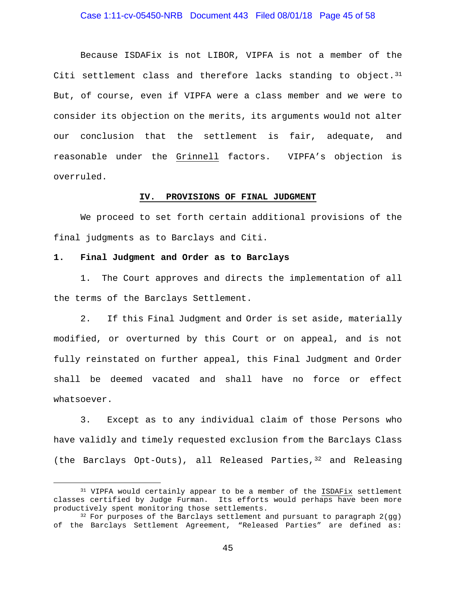# Case 1:11-cv-05450-NRB Document 443 Filed 08/01/18 Page 45 of 58

Because ISDAFix is not LIBOR, VIPFA is not a member of the Citi settlement class and therefore lacks standing to object.  $31$ But, of course, even if VIPFA were a class member and we were to consider its objection on the merits, its arguments would not alter our conclusion that the settlement is fair, adequate, and reasonable under the Grinnell factors. VIPFA's objection is overruled.

#### **IV. PROVISIONS OF FINAL JUDGMENT**

We proceed to set forth certain additional provisions of the final judgments as to Barclays and Citi.

#### **1. Final Judgment and Order as to Barclays**

1. The Court approves and directs the implementation of all the terms of the Barclays Settlement.

2. If this Final Judgment and Order is set aside, materially modified, or overturned by this Court or on appeal, and is not fully reinstated on further appeal, this Final Judgment and Order shall be deemed vacated and shall have no force or effect whatsoever.

3. Except as to any individual claim of those Persons who have validly and timely requested exclusion from the Barclays Class (the Barclays Opt-Outs), all Released Parties,  $32$  and Releasing

<span id="page-44-0"></span> <sup>31</sup> VIPFA would certainly appear to be a member of the ISDAFix settlement classes certified by Judge Furman. Its efforts would perhaps have been more productively spent monitoring those settlements.

<span id="page-44-1"></span> $32$  For purposes of the Barclays settlement and pursuant to paragraph  $2(gg)$ of the Barclays Settlement Agreement, "Released Parties" are defined as: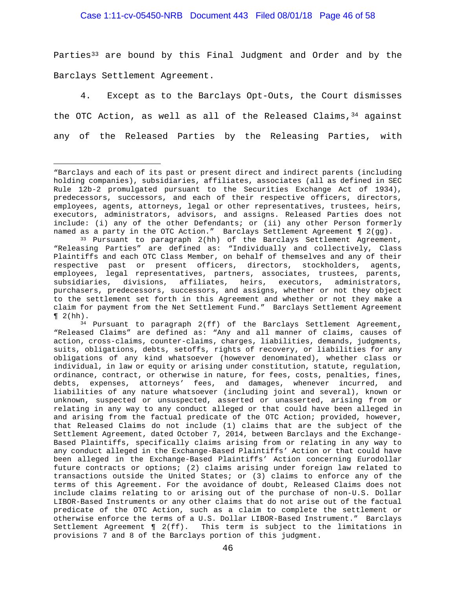#### Case 1:11-cv-05450-NRB Document 443 Filed 08/01/18 Page 46 of 58

Parties<sup>[33](#page-45-0)</sup> are bound by this Final Judgment and Order and by the Barclays Settlement Agreement.

4. Except as to the Barclays Opt-Outs, the Court dismisses the OTC Action, as well as all of the Released Claims,  $34$  against any of the Released Parties by the Releasing Parties, with

Ĩ. "Barclays and each of its past or present direct and indirect parents (including holding companies), subsidiaries, affiliates, associates (all as defined in SEC Rule 12b-2 promulgated pursuant to the Securities Exchange Act of 1934), predecessors, successors, and each of their respective officers, directors, employees, agents, attorneys, legal or other representatives, trustees, heirs, executors, administrators, advisors, and assigns. Released Parties does not include: (i) any of the other Defendants; or (ii) any other Person formerly named as a party in the OTC Action." Barclays Settlement Agreement ¶ 2(gg).

<span id="page-45-0"></span><sup>33</sup> Pursuant to paragraph 2(hh) of the Barclays Settlement Agreement, "Releasing Parties" are defined as: "Individually and collectively, Class Plaintiffs and each OTC Class Member, on behalf of themselves and any of their respective past or present officers, directors, stockholders, agents, employees, legal representatives, partners, associates, trustees, parents, subsidiaries, divisions, affiliates, heirs, executors, administrators, purchasers, predecessors, successors, and assigns, whether or not they object to the settlement set forth in this Agreement and whether or not they make a claim for payment from the Net Settlement Fund." Barclays Settlement Agreement

<span id="page-45-1"></span> $\P$  2(hh).<br><sup>34</sup> Pursuant to paragraph 2(ff) of the Barclays Settlement Agreement, "Released Claims" are defined as: "Any and all manner of claims, causes of action, cross-claims, counter-claims, charges, liabilities, demands, judgments, suits, obligations, debts, setoffs, rights of recovery, or liabilities for any obligations of any kind whatsoever (however denominated), whether class or individual, in law or equity or arising under constitution, statute, regulation, ordinance, contract, or otherwise in nature, for fees, costs, penalties, fines, debts, expenses, attorneys' fees, and damages, whenever incurred, and liabilities of any nature whatsoever (including joint and several), known or unknown, suspected or unsuspected, asserted or unasserted, arising from or relating in any way to any conduct alleged or that could have been alleged in and arising from the factual predicate of the OTC Action; provided, however, that Released Claims do not include (1) claims that are the subject of the Settlement Agreement, dated October 7, 2014, between Barclays and the Exchange-Based Plaintiffs, specifically claims arising from or relating in any way to any conduct alleged in the Exchange-Based Plaintiffs' Action or that could have been alleged in the Exchange-Based Plaintiffs' Action concerning Eurodollar future contracts or options; (2) claims arising under foreign law related to transactions outside the United States; or (3) claims to enforce any of the terms of this Agreement. For the avoidance of doubt, Released Claims does not include claims relating to or arising out of the purchase of non-U.S. Dollar LIBOR-Based Instruments or any other claims that do not arise out of the factual predicate of the OTC Action, such as a claim to complete the settlement or otherwise enforce the terms of a U.S. Dollar LIBOR-Based Instrument." Barclays Settlement Agreement ¶ 2(ff). This term is subject to the limitations in provisions 7 and 8 of the Barclays portion of this judgment.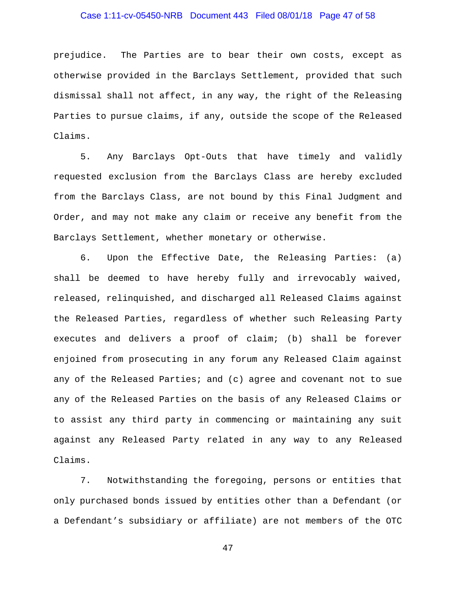# Case 1:11-cv-05450-NRB Document 443 Filed 08/01/18 Page 47 of 58

prejudice. The Parties are to bear their own costs, except as otherwise provided in the Barclays Settlement, provided that such dismissal shall not affect, in any way, the right of the Releasing Parties to pursue claims, if any, outside the scope of the Released Claims.

5. Any Barclays Opt-Outs that have timely and validly requested exclusion from the Barclays Class are hereby excluded from the Barclays Class, are not bound by this Final Judgment and Order, and may not make any claim or receive any benefit from the Barclays Settlement, whether monetary or otherwise.

6. Upon the Effective Date, the Releasing Parties: (a) shall be deemed to have hereby fully and irrevocably waived, released, relinquished, and discharged all Released Claims against the Released Parties, regardless of whether such Releasing Party executes and delivers a proof of claim; (b) shall be forever enjoined from prosecuting in any forum any Released Claim against any of the Released Parties; and (c) agree and covenant not to sue any of the Released Parties on the basis of any Released Claims or to assist any third party in commencing or maintaining any suit against any Released Party related in any way to any Released Claims.

7. Notwithstanding the foregoing, persons or entities that only purchased bonds issued by entities other than a Defendant (or a Defendant's subsidiary or affiliate) are not members of the OTC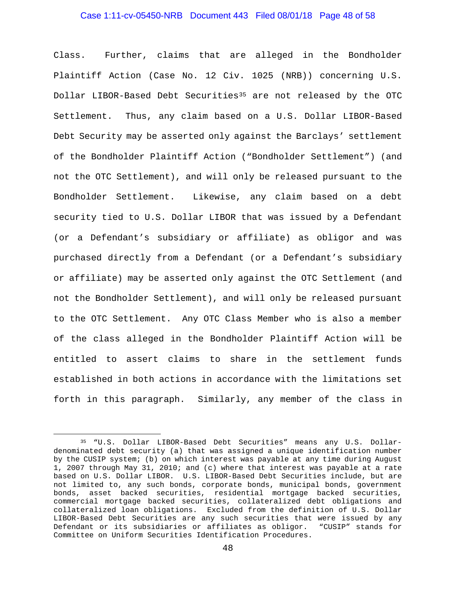#### Case 1:11-cv-05450-NRB Document 443 Filed 08/01/18 Page 48 of 58

Class. Further, claims that are alleged in the Bondholder Plaintiff Action (Case No. 12 Civ. 1025 (NRB)) concerning U.S. Dollar LIBOR-Based Debt Securities<sup>[35](#page-47-0)</sup> are not released by the OTC Settlement. Thus, any claim based on a U.S. Dollar LIBOR-Based Debt Security may be asserted only against the Barclays' settlement of the Bondholder Plaintiff Action ("Bondholder Settlement") (and not the OTC Settlement), and will only be released pursuant to the Bondholder Settlement. Likewise, any claim based on a debt security tied to U.S. Dollar LIBOR that was issued by a Defendant (or a Defendant's subsidiary or affiliate) as obligor and was purchased directly from a Defendant (or a Defendant's subsidiary or affiliate) may be asserted only against the OTC Settlement (and not the Bondholder Settlement), and will only be released pursuant to the OTC Settlement. Any OTC Class Member who is also a member of the class alleged in the Bondholder Plaintiff Action will be entitled to assert claims to share in the settlement funds established in both actions in accordance with the limitations set forth in this paragraph. Similarly, any member of the class in

<span id="page-47-0"></span> <sup>35</sup> "U.S. Dollar LIBOR-Based Debt Securities" means any U.S. Dollardenominated debt security (a) that was assigned a unique identification number by the CUSIP system; (b) on which interest was payable at any time during August 1, 2007 through May 31, 2010; and (c) where that interest was payable at a rate based on U.S. Dollar LIBOR. U.S. LIBOR-Based Debt Securities include, but are not limited to, any such bonds, corporate bonds, municipal bonds, government bonds, asset backed securities, residential mortgage backed securities, commercial mortgage backed securities, collateralized debt obligations and collateralized loan obligations. Excluded from the definition of U.S. Dollar LIBOR-Based Debt Securities are any such securities that were issued by any<br>Defendant or its subsidiaries or affiliates as obligor. "CUSIP" stands for Defendant or its subsidiaries or affiliates as obligor. Committee on Uniform Securities Identification Procedures.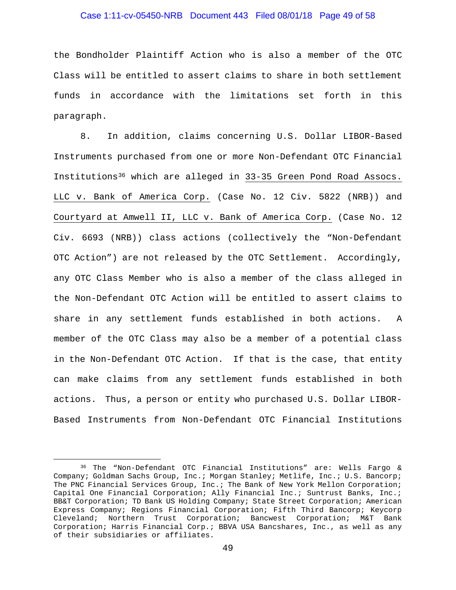#### Case 1:11-cv-05450-NRB Document 443 Filed 08/01/18 Page 49 of 58

the Bondholder Plaintiff Action who is also a member of the OTC Class will be entitled to assert claims to share in both settlement funds in accordance with the limitations set forth in this paragraph.

8. In addition, claims concerning U.S. Dollar LIBOR-Based Instruments purchased from one or more Non-Defendant OTC Financial Institutions[36](#page-48-0) which are alleged in 33-35 Green Pond Road Assocs. LLC v. Bank of America Corp. (Case No. 12 Civ. 5822 (NRB)) and Courtyard at Amwell II, LLC v. Bank of America Corp. (Case No. 12 Civ. 6693 (NRB)) class actions (collectively the "Non-Defendant OTC Action") are not released by the OTC Settlement. Accordingly, any OTC Class Member who is also a member of the class alleged in the Non-Defendant OTC Action will be entitled to assert claims to share in any settlement funds established in both actions. A member of the OTC Class may also be a member of a potential class in the Non-Defendant OTC Action. If that is the case, that entity can make claims from any settlement funds established in both actions. Thus, a person or entity who purchased U.S. Dollar LIBOR-Based Instruments from Non-Defendant OTC Financial Institutions

<span id="page-48-0"></span> <sup>36</sup> The "Non-Defendant OTC Financial Institutions" are: Wells Fargo & Company; Goldman Sachs Group, Inc.; Morgan Stanley; Metlife, Inc.; U.S. Bancorp; The PNC Financial Services Group, Inc.; The Bank of New York Mellon Corporation; Capital One Financial Corporation; Ally Financial Inc.; Suntrust Banks, Inc.; BB&T Corporation; TD Bank US Holding Company; State Street Corporation; American Express Company; Regions Financial Corporation; Fifth Third Bancorp; Keycorp Cleveland; Northern Trust Corporation; Bancwest Corporation; M&T Bank Corporation; Harris Financial Corp.; BBVA USA Bancshares, Inc., as well as any of their subsidiaries or affiliates.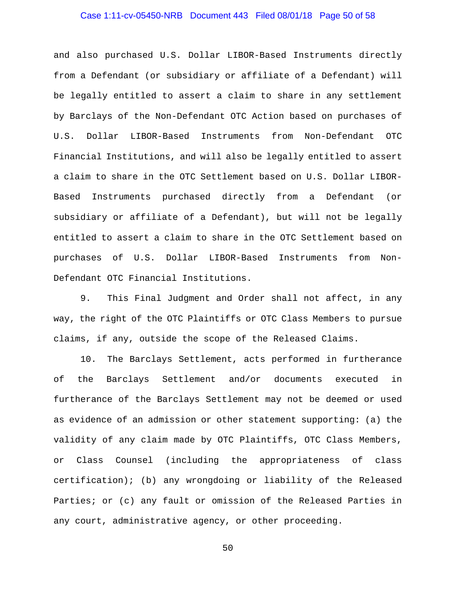# Case 1:11-cv-05450-NRB Document 443 Filed 08/01/18 Page 50 of 58

and also purchased U.S. Dollar LIBOR-Based Instruments directly from a Defendant (or subsidiary or affiliate of a Defendant) will be legally entitled to assert a claim to share in any settlement by Barclays of the Non-Defendant OTC Action based on purchases of U.S. Dollar LIBOR-Based Instruments from Non-Defendant OTC Financial Institutions, and will also be legally entitled to assert a claim to share in the OTC Settlement based on U.S. Dollar LIBOR-Based Instruments purchased directly from a Defendant (or subsidiary or affiliate of a Defendant), but will not be legally entitled to assert a claim to share in the OTC Settlement based on purchases of U.S. Dollar LIBOR-Based Instruments from Non-Defendant OTC Financial Institutions.

9. This Final Judgment and Order shall not affect, in any way, the right of the OTC Plaintiffs or OTC Class Members to pursue claims, if any, outside the scope of the Released Claims.

10. The Barclays Settlement, acts performed in furtherance of the Barclays Settlement and/or documents executed in furtherance of the Barclays Settlement may not be deemed or used as evidence of an admission or other statement supporting: (a) the validity of any claim made by OTC Plaintiffs, OTC Class Members, or Class Counsel (including the appropriateness of class certification); (b) any wrongdoing or liability of the Released Parties; or (c) any fault or omission of the Released Parties in any court, administrative agency, or other proceeding.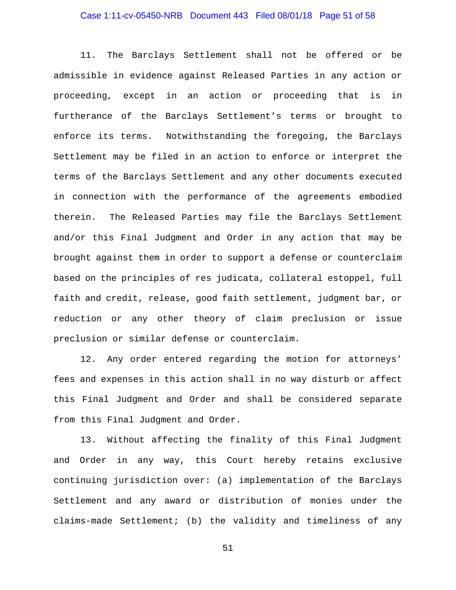# Case 1:11-cv-05450-NRB Document 443 Filed 08/01/18 Page 51 of 58

11. The Barclays Settlement shall not be offered or be admissible in evidence against Released Parties in any action or proceeding, except in an action or proceeding that is in furtherance of the Barclays Settlement's terms or brought to enforce its terms. Notwithstanding the foregoing, the Barclays Settlement may be filed in an action to enforce or interpret the terms of the Barclays Settlement and any other documents executed in connection with the performance of the agreements embodied therein. The Released Parties may file the Barclays Settlement and/or this Final Judgment and Order in any action that may be brought against them in order to support a defense or counterclaim based on the principles of res judicata, collateral estoppel, full faith and credit, release, good faith settlement, judgment bar, or reduction or any other theory of claim preclusion or issue preclusion or similar defense or counterclaim.

12. Any order entered regarding the motion for attorneys' fees and expenses in this action shall in no way disturb or affect this Final Judgment and Order and shall be considered separate from this Final Judgment and Order.

13. Without affecting the finality of this Final Judgment and Order in any way, this Court hereby retains exclusive continuing jurisdiction over: (a) implementation of the Barclays Settlement and any award or distribution of monies under the claims-made Settlement; (b) the validity and timeliness of any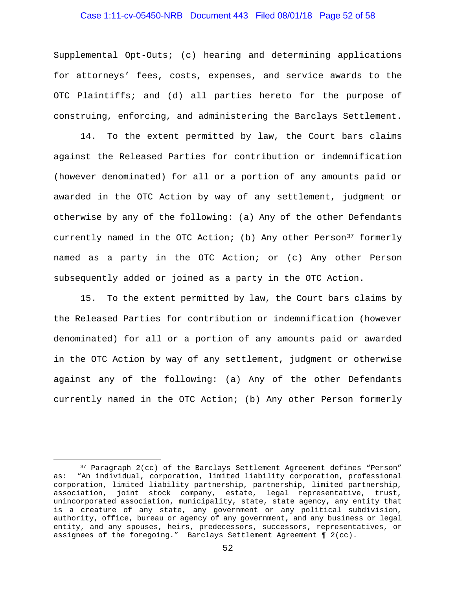# Case 1:11-cv-05450-NRB Document 443 Filed 08/01/18 Page 52 of 58

Supplemental Opt-Outs; (c) hearing and determining applications for attorneys' fees, costs, expenses, and service awards to the OTC Plaintiffs; and (d) all parties hereto for the purpose of construing, enforcing, and administering the Barclays Settlement.

14. To the extent permitted by law, the Court bars claims against the Released Parties for contribution or indemnification (however denominated) for all or a portion of any amounts paid or awarded in the OTC Action by way of any settlement, judgment or otherwise by any of the following: (a) Any of the other Defendants currently named in the OTC Action; (b) Any other Person<sup>[37](#page-51-0)</sup> formerly named as a party in the OTC Action; or (c) Any other Person subsequently added or joined as a party in the OTC Action.

15. To the extent permitted by law, the Court bars claims by the Released Parties for contribution or indemnification (however denominated) for all or a portion of any amounts paid or awarded in the OTC Action by way of any settlement, judgment or otherwise against any of the following: (a) Any of the other Defendants currently named in the OTC Action; (b) Any other Person formerly

<span id="page-51-0"></span><sup>&</sup>lt;sup>37</sup> Paragraph 2(cc) of the Barclays Settlement Agreement defines "Person" as: "An individual, corporation, limited liability corporation, professional corporation, limited liability partnership, partnership, limited partnership, association, joint stock company, estate, legal representative, trust, unincorporated association, municipality, state, state agency, any entity that is a creature of any state, any government or any political subdivision, authority, office, bureau or agency of any government, and any business or legal entity, and any spouses, heirs, predecessors, successors, representatives, or assignees of the foregoing." Barclays Settlement Agreement ¶ 2(cc).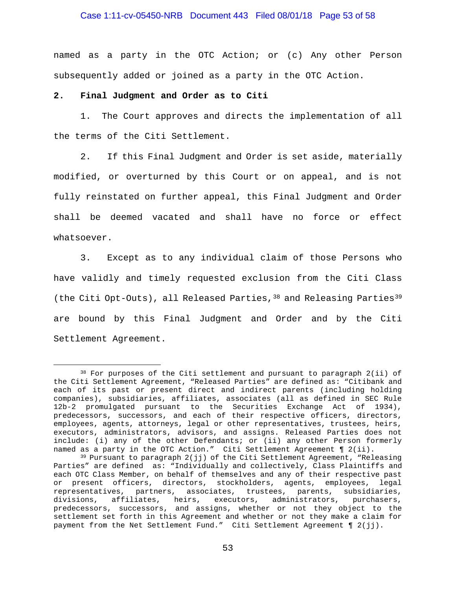#### Case 1:11-cv-05450-NRB Document 443 Filed 08/01/18 Page 53 of 58

named as a party in the OTC Action; or (c) Any other Person subsequently added or joined as a party in the OTC Action.

#### **2. Final Judgment and Order as to Citi**

1. The Court approves and directs the implementation of all the terms of the Citi Settlement.

2. If this Final Judgment and Order is set aside, materially modified, or overturned by this Court or on appeal, and is not fully reinstated on further appeal, this Final Judgment and Order shall be deemed vacated and shall have no force or effect whatsoever.

3. Except as to any individual claim of those Persons who have validly and timely requested exclusion from the Citi Class (the Citi Opt-Outs), all Released Parties, [38](#page-52-0) and Releasing Parties<sup>[39](#page-52-1)</sup> are bound by this Final Judgment and Order and by the Citi Settlement Agreement.

<span id="page-52-0"></span> <sup>38</sup> For purposes of the Citi settlement and pursuant to paragraph 2(ii) of the Citi Settlement Agreement, "Released Parties" are defined as: "Citibank and each of its past or present direct and indirect parents (including holding companies), subsidiaries, affiliates, associates (all as defined in SEC Rule 12b-2 promulgated pursuant to the Securities Exchange Act of 1934), predecessors, successors, and each of their respective officers, directors, employees, agents, attorneys, legal or other representatives, trustees, heirs, executors, administrators, advisors, and assigns. Released Parties does not include: (i) any of the other Defendants; or (ii) any other Person formerly named as a party in the OTC Action." Citi Settlement Agreement ¶ 2(ii).

<span id="page-52-1"></span> $39$  Pursuant to paragraph  $2(jj)$  of the Citi Settlement Agreement, "Releasing Parties" are defined as: "Individually and collectively, Class Plaintiffs and each OTC Class Member, on behalf of themselves and any of their respective past or present officers, directors, stockholders, agents, employees, legal representatives, partners, associates, trustees, parents, subsidiaries,<br>divisions, affiliates, heirs, executors, administrators, purchasers, affiliates, heirs, executors, administrators, predecessors, successors, and assigns, whether or not they object to the settlement set forth in this Agreement and whether or not they make a claim for payment from the Net Settlement Fund." Citi Settlement Agreement ¶ 2(jj).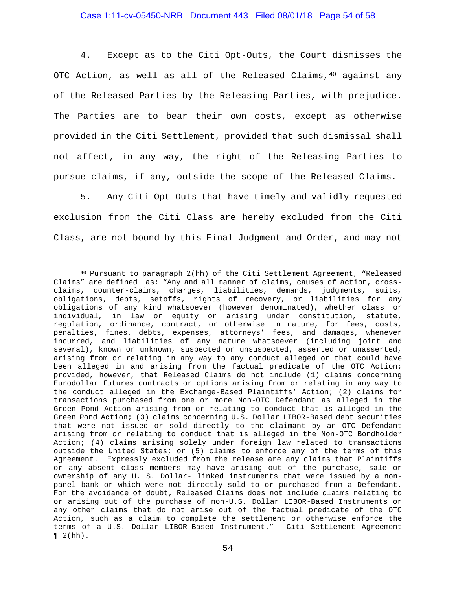4. Except as to the Citi Opt-Outs, the Court dismisses the OTC Action, as well as all of the Released Claims,  $40$  against any of the Released Parties by the Releasing Parties, with prejudice. The Parties are to bear their own costs, except as otherwise provided in the Citi Settlement, provided that such dismissal shall not affect, in any way, the right of the Releasing Parties to pursue claims, if any, outside the scope of the Released Claims.

5. Any Citi Opt-Outs that have timely and validly requested exclusion from the Citi Class are hereby excluded from the Citi Class, are not bound by this Final Judgment and Order, and may not

<span id="page-53-0"></span> <sup>40</sup> Pursuant to paragraph 2(hh) of the Citi Settlement Agreement, "Released Claims" are defined as: "Any and all manner of claims, causes of action, crossclaims, counter-claims, charges, liabilities, demands, judgments, suits, obligations, debts, setoffs, rights of recovery, or liabilities for any obligations of any kind whatsoever (however denominated), whether class or individual, in law or equity or arising under constitution, statute, regulation, ordinance, contract, or otherwise in nature, for fees, costs, penalties, fines, debts, expenses, attorneys' fees, and damages, whenever incurred, and liabilities of any nature whatsoever (including joint and several), known or unknown, suspected or unsuspected, asserted or unasserted, arising from or relating in any way to any conduct alleged or that could have been alleged in and arising from the factual predicate of the OTC Action; provided, however, that Released Claims do not include (1) claims concerning Eurodollar futures contracts or options arising from or relating in any way to the conduct alleged in the Exchange-Based Plaintiffs' Action; (2) claims for transactions purchased from one or more Non-OTC Defendant as alleged in the Green Pond Action arising from or relating to conduct that is alleged in the Green Pond Action; (3) claims concerning U.S. Dollar LIBOR-Based debt securities that were not issued or sold directly to the claimant by an OTC Defendant arising from or relating to conduct that is alleged in the Non-OTC Bondholder Action; (4) claims arising solely under foreign law related to transactions outside the United States; or (5) claims to enforce any of the terms of this Agreement. Expressly excluded from the release are any claims that Plaintiffs or any absent class members may have arising out of the purchase, sale or ownership of any U. S. Dollar- linked instruments that were issued by a nonpanel bank or which were not directly sold to or purchased from a Defendant. For the avoidance of doubt, Released Claims does not include claims relating to or arising out of the purchase of non-U.S. Dollar LIBOR-Based Instruments or any other claims that do not arise out of the factual predicate of the OTC Action, such as a claim to complete the settlement or otherwise enforce the terms of a U.S. Dollar LIBOR-Based Instrument." Citi Settlement Agreement  $\P$  2(hh).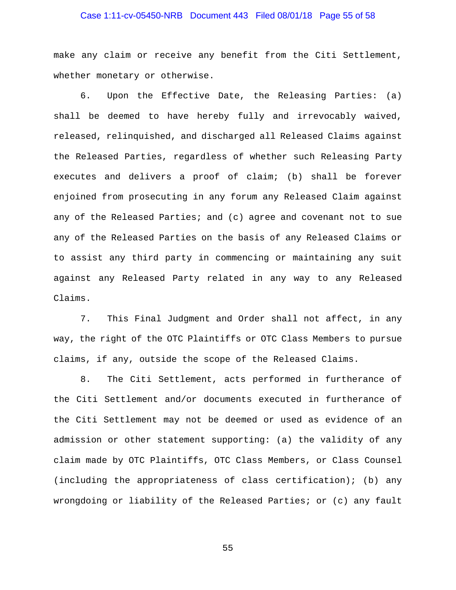# Case 1:11-cv-05450-NRB Document 443 Filed 08/01/18 Page 55 of 58

make any claim or receive any benefit from the Citi Settlement, whether monetary or otherwise.

6. Upon the Effective Date, the Releasing Parties: (a) shall be deemed to have hereby fully and irrevocably waived, released, relinquished, and discharged all Released Claims against the Released Parties, regardless of whether such Releasing Party executes and delivers a proof of claim; (b) shall be forever enjoined from prosecuting in any forum any Released Claim against any of the Released Parties; and (c) agree and covenant not to sue any of the Released Parties on the basis of any Released Claims or to assist any third party in commencing or maintaining any suit against any Released Party related in any way to any Released Claims.

7. This Final Judgment and Order shall not affect, in any way, the right of the OTC Plaintiffs or OTC Class Members to pursue claims, if any, outside the scope of the Released Claims.

8. The Citi Settlement, acts performed in furtherance of the Citi Settlement and/or documents executed in furtherance of the Citi Settlement may not be deemed or used as evidence of an admission or other statement supporting: (a) the validity of any claim made by OTC Plaintiffs, OTC Class Members, or Class Counsel (including the appropriateness of class certification); (b) any wrongdoing or liability of the Released Parties; or (c) any fault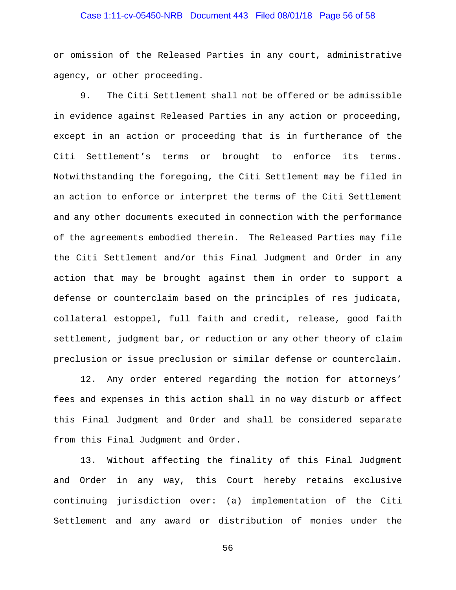# Case 1:11-cv-05450-NRB Document 443 Filed 08/01/18 Page 56 of 58

or omission of the Released Parties in any court, administrative agency, or other proceeding.

9. The Citi Settlement shall not be offered or be admissible in evidence against Released Parties in any action or proceeding, except in an action or proceeding that is in furtherance of the Citi Settlement's terms or brought to enforce its terms. Notwithstanding the foregoing, the Citi Settlement may be filed in an action to enforce or interpret the terms of the Citi Settlement and any other documents executed in connection with the performance of the agreements embodied therein. The Released Parties may file the Citi Settlement and/or this Final Judgment and Order in any action that may be brought against them in order to support a defense or counterclaim based on the principles of res judicata, collateral estoppel, full faith and credit, release, good faith settlement, judgment bar, or reduction or any other theory of claim preclusion or issue preclusion or similar defense or counterclaim.

12. Any order entered regarding the motion for attorneys' fees and expenses in this action shall in no way disturb or affect this Final Judgment and Order and shall be considered separate from this Final Judgment and Order.

13. Without affecting the finality of this Final Judgment and Order in any way, this Court hereby retains exclusive continuing jurisdiction over: (a) implementation of the Citi Settlement and any award or distribution of monies under the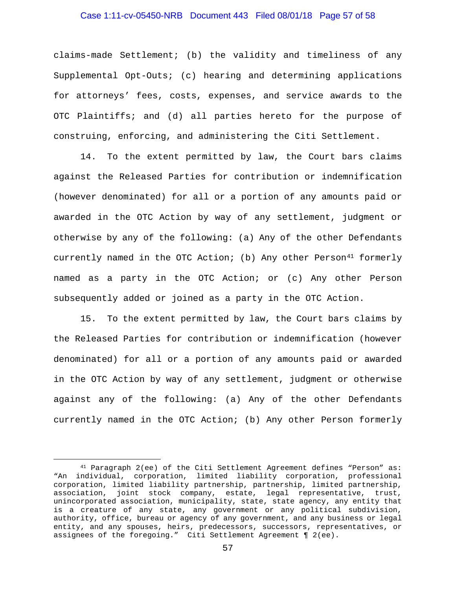#### Case 1:11-cv-05450-NRB Document 443 Filed 08/01/18 Page 57 of 58

claims-made Settlement; (b) the validity and timeliness of any Supplemental Opt-Outs; (c) hearing and determining applications for attorneys' fees, costs, expenses, and service awards to the OTC Plaintiffs; and (d) all parties hereto for the purpose of construing, enforcing, and administering the Citi Settlement.

14. To the extent permitted by law, the Court bars claims against the Released Parties for contribution or indemnification (however denominated) for all or a portion of any amounts paid or awarded in the OTC Action by way of any settlement, judgment or otherwise by any of the following: (a) Any of the other Defendants currently named in the OTC Action; (b) Any other Person $41$  formerly named as a party in the OTC Action; or (c) Any other Person subsequently added or joined as a party in the OTC Action.

15. To the extent permitted by law, the Court bars claims by the Released Parties for contribution or indemnification (however denominated) for all or a portion of any amounts paid or awarded in the OTC Action by way of any settlement, judgment or otherwise against any of the following: (a) Any of the other Defendants currently named in the OTC Action; (b) Any other Person formerly

<span id="page-56-0"></span> <sup>41</sup> Paragraph 2(ee) of the Citi Settlement Agreement defines "Person" as: "An individual, corporation, limited liability corporation, professional corporation, limited liability partnership, partnership, limited partnership, association, joint stock company, estate, legal representative, trust, unincorporated association, municipality, state, state agency, any entity that is a creature of any state, any government or any political subdivision, authority, office, bureau or agency of any government, and any business or legal entity, and any spouses, heirs, predecessors, successors, representatives, or assignees of the foregoing." Citi Settlement Agreement ¶ 2(ee).